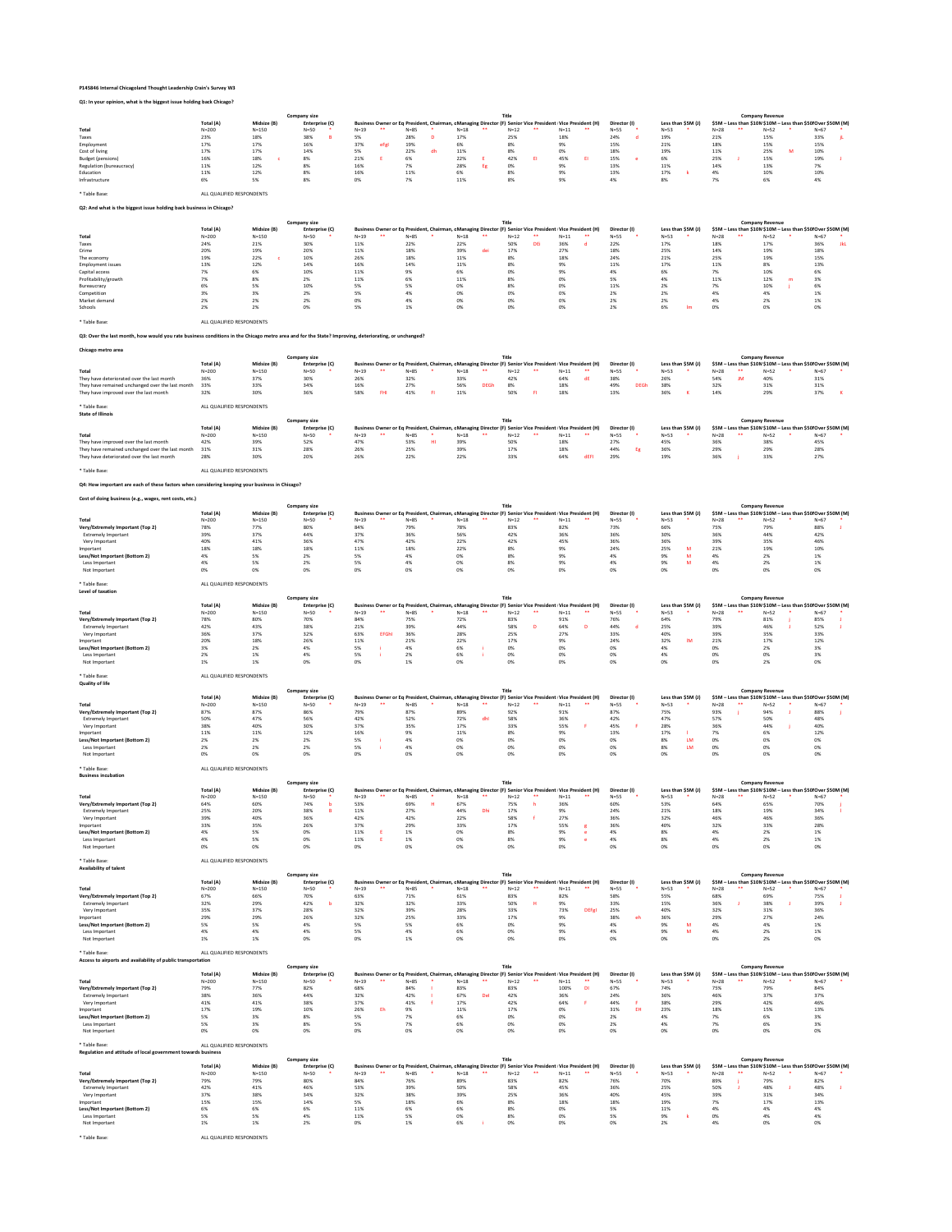# **P145846 Internal Chicagoland Thought Leadership Crain's Survey W3**

# **Q1: In your opinion, what is the biggest issue holding back Chicago?**

\* Table Base: ALL QUALIFIED RESPONDENTS

## **Q2: And what is the biggest issue holding back business in Chicago?**

\* Table Base: ALL QUALIFIED RESPONDENTS

## **Q3: Over the last month, how would you rate business conditions in the Chicago metro area and for the State? Improving, deteriorating, or unchanged?**

**Chicago metro area**

\* Table Base: ALL QUALIFIED RESPONDENTS

\* Table Base: ALL QUALIFIED RESPONDENTS

# **Q4: How important are each of these factors when considering keeping your business in Chicago?**

**Cost of doing business (e.g., wages, rent costs, etc.)**

### \* Table Base: ALL QUALIFIED RESPONDENTS

|  | Level of taxation |  |
|--|-------------------|--|
|--|-------------------|--|

|                          |           |             | Company size   |                                                                                                            |      |          |        |    |        |    |        |    |              |        |                    |      | <b>Company Revenue</b>                                       |          |  |
|--------------------------|-----------|-------------|----------------|------------------------------------------------------------------------------------------------------------|------|----------|--------|----|--------|----|--------|----|--------------|--------|--------------------|------|--------------------------------------------------------------|----------|--|
|                          | Total (A) | Midsize (B) | Enterprise (C) | Business Owner or Eq President, Chairman, c Managing Director (F) Senior Vice President Vice President (H) |      |          |        |    |        |    |        |    | Director (I) |        | Less than \$5M (J) |      | \$5M - Less than \$10M \$10M - Less than \$50 Over \$50M (M) |          |  |
| <b>Total</b>             | $N = 200$ | $N = 150$   | $N=50$         | $N=19$                                                                                                     | **   | $N = 85$ | $N=18$ | ** | $N=12$ | ** | $N=11$ | ** | $N=55$       | $N=53$ |                    | N=28 | $N=52$                                                       | $N = 67$ |  |
| <b>Taxes</b>             | 23%       | 18%         | 38%            | 5%                                                                                                         |      | 28%      | 17%    |    | 25%    |    | 18%    |    | 24%          | 19%    |                    | 21%  | 15%                                                          | 33%      |  |
| Employment               | 17%       | 17%         | 16%            | 37%                                                                                                        | eFgl | 19%      |        |    | 8%     |    |        |    | 15%          | 21%    |                    | 18%  | 15%                                                          | 15%      |  |
| Cost of living           | 17%       | 17%         | 14%            | 5%                                                                                                         |      | 22%      | 11%    |    | 8%     |    |        |    | 18%          | 19%    |                    | 11%  | 25%                                                          | 10%      |  |
| Budget (pensions)        | 16%       | 18%         | 8%             | 21%                                                                                                        |      |          | 22%    |    | 42%    |    | 45%    |    | 15%          | 6%     |                    | 25%  | 15%                                                          | 19%      |  |
| Regulation (bureaucracy) | 11%       | 12%         | 8%             | 16%                                                                                                        |      | 7%       | 28%    |    | 0%     |    |        |    | 13%          | 11%    |                    | 14%  | 13%                                                          |          |  |
| Education                | 11%       | 12%         | 8%             | 16%                                                                                                        |      | 11%      |        |    |        |    |        |    | 13%          | 17%    |                    | 4%   | 10%                                                          | 10%      |  |
| Infrastructure           | 6%        | 5%          | 8%             | 0%                                                                                                         |      | 7%       | 11%    |    | 8%     |    |        |    | 4%           |        |                    |      |                                                              |          |  |
|                          |           |             |                |                                                                                                            |      |          |        |    |        |    |        |    |              |        |                    |      |                                                              |          |  |

\* Table Base: ALL QUALIFIED RESPONDENTS

**Quality of life**

|                          |           |             | <b>Company size</b> |              |          |                   | Title      |                                                                                                            |              |                    |        | <b>Company Revenue</b>                                       |             |
|--------------------------|-----------|-------------|---------------------|--------------|----------|-------------------|------------|------------------------------------------------------------------------------------------------------------|--------------|--------------------|--------|--------------------------------------------------------------|-------------|
|                          | Total (A) | Midsize (B) | Enterprise (C)      |              |          |                   |            | Business Owner or Eq President, Chairman, c Managing Director (F) Senior Vice President Vice President (H) | Director (I) | Less than \$5M (J) |        | \$5M - Less than \$10M \$10M - Less than \$50 Over \$50M (M) |             |
| <b>Total</b>             | $N = 200$ | $N = 150$   | $N = 50$            | $N=19$<br>** | $N = 85$ | $N = 18$<br>$***$ | $N=12$     | $N=11$                                                                                                     | $N = 55$     | $N=53$             | $N=28$ | $N=52$                                                       | $N = 67$    |
| <b>Taxes</b>             | 24%       | 21%         | 30%                 | 11%          | 22%      | 22%               | 50%<br>DEi | 36%                                                                                                        | 22%          | 17%                | 18%    | 17%                                                          | 36%<br>JkL. |
| Crime                    | 20%       | 19%         | 20%                 | 11%          | 18%      | 39%<br>dei        | 17%        | 27%                                                                                                        | 18%          | 25%                | 14%    | 19%                                                          | 18%         |
| The economy              | 19%       | 22%         | 10%                 | 26%          | 18%      | 11%               | 8%         | 18%                                                                                                        | 24%          | 21%                | 25%    | 19%                                                          | 15%         |
| <b>Employment issues</b> | 13%       | 12%         | 14%                 | 16%          | 14%      | 11%               | 8%         | 9%                                                                                                         | 11%          | 17%                | 11%    | 8%                                                           | 13%         |
| Capital access           | 7%        | 6%          | 10%                 | 11%          | 9%       | 6%                | 0%         | 9%                                                                                                         | 4%           | 6%                 | 7%     | 10%                                                          | 6%          |
| Profitability/growth     | 7%        | 8%          | 2%                  | 11%          | 6%       | 11%               | 8%         | 0%                                                                                                         |              | 4%                 | 11%    | 12%<br>m                                                     | 3%          |
| Bureaucracy              | 6%        | 5%          | 10%                 |              | 5%       | 0%                | 8%         | 0%                                                                                                         | 11%          | 2%                 |        | 10%                                                          | 6%          |
| Competition              | 3%        | 3%          | 2%                  |              | 4%       | 0%                | 0%         | 0%                                                                                                         | 2%           |                    |        |                                                              |             |
| Market demand            | 2%        | 2%          | 2%                  |              |          | 0%                | 0%         | 0%                                                                                                         | 2%           | 2%                 | 4%     | ים ב                                                         |             |
| Schools                  |           | 2%          |                     |              |          | 0%                | 0%         | 0%                                                                                                         |              | 6%                 | 0%     | 0%                                                           |             |

|                                                      |           | <b>Company size</b> |                |                  |    |               |                                                                                                           |    |        |          |       |              |        |                    | <b>Company Revenue</b> |          |                                                              |  |
|------------------------------------------------------|-----------|---------------------|----------------|------------------|----|---------------|-----------------------------------------------------------------------------------------------------------|----|--------|----------|-------|--------------|--------|--------------------|------------------------|----------|--------------------------------------------------------------|--|
|                                                      | Total (A) | Midsize (B)         | Enterprise (C) |                  |    |               | Business Owner or Eq President, Chairman, cManaging Director (F) Senior Vice President Vice President (H) |    |        |          |       | Director (I) |        | Less than \$5M (J) |                        |          | \$5M – Less than \$10M\$10M – Less than \$50  Over \$50M (M) |  |
| <b>Total</b>                                         | $N = 200$ | N=150               | $N=50$         | $N = 19$         | ** | N=85          | $N=18$                                                                                                    | ** | $N=12$ | $N = 11$ | $***$ | $N = 55$     | $N=53$ |                    | $N = 28$               | $N = 52$ | $N = 67$                                                     |  |
| They have deteriorated over the last month           | 36%       | 37%                 | 30%            | ZD <sub>70</sub> |    | 32%           | 33%                                                                                                       |    | 42%    |          |       | 38%          | 26%    |                    | 54%                    | 40%      | 31%                                                          |  |
| They have remained unchanged over the last month 33% |           | 33%                 | 34%            | 16%              |    | 270/<br>Z 1 % | 56%                                                                                                       |    | 8%     |          |       |              | 38%    |                    | 32%                    | 51%      | 31%                                                          |  |
| They have improved over the last month               | 32%       | 3U%                 | 36%            | 58%              |    | 41%           | 11%                                                                                                       |    | 50%    |          |       | 13%          |        |                    | 14%                    | 29%      | 37%                                                          |  |

\* Table Base: ALL QUALIFIED RESPONDENTS

| <b>State of Illinois</b>                             |           |             |                |                |          |        |                                                                                                            |              |              |                    |        |    |                        |                                                             |
|------------------------------------------------------|-----------|-------------|----------------|----------------|----------|--------|------------------------------------------------------------------------------------------------------------|--------------|--------------|--------------------|--------|----|------------------------|-------------------------------------------------------------|
|                                                      |           |             | Company size   |                |          |        | Title                                                                                                      |              |              |                    |        |    | <b>Company Revenue</b> |                                                             |
|                                                      | Total (A) | Midsize (B) | Enterprise (C) |                |          |        | Business Owner or Eq President, Chairman, c Managing Director (F) Senior Vice President Vice President (H) |              | Director (I) | Less than \$5M (J) |        |    |                        | \$5M – Less than \$10M\$10M – Less than \$50 Over \$50M (M) |
| <b>Total</b>                                         | $N = 200$ | $N = 150$   | $N = 50$       | **<br>$N = 19$ | $N = 85$ | $N=18$ | $N=12$<br>**<br>**                                                                                         | $N=11$<br>** | $N = 55$     | $N=53$             | $N=28$ | ** | $N = 52$               | $N = 67$                                                    |
| They have improved over the last month               | 42%       | 39%         | 52%            | 47%            | 53%      | 39%    | 50%                                                                                                        | 18%          | 27%          | 45%                | 36%    |    | 38%                    | 45%                                                         |
| They have remained unchanged over the last month 31% |           | 31%         | 28%            | 26%            | 25%      | 39%    | 17%                                                                                                        | 18%          | 44%          | 36%                | 29%    |    | 29%                    | 28%                                                         |
| They have deteriorated over the last month           | 28%       | 30%         | 20%            | 26%            | 22%      | 22%    | 33%                                                                                                        | 64%          | 29%          | 17/0               | 36%    |    | 33%                    | 27%                                                         |
|                                                      |           |             |                |                |          |        |                                                                                                            |              |              |                    |        |    |                        |                                                             |

|                                  |           |             | Company size   |        |          |        |              |                                                                                                              |              |                    |          | <b>Company Revenue</b> |                                                              |
|----------------------------------|-----------|-------------|----------------|--------|----------|--------|--------------|--------------------------------------------------------------------------------------------------------------|--------------|--------------------|----------|------------------------|--------------------------------------------------------------|
|                                  | Total (A) | Midsize (B) | Enterprise (C) |        |          |        |              | Business Owner or Eq President, Chairman, c Managing Director (F) Senior Vice President   Vice President (H) | Director (I) | Less than \$5M (J) |          |                        | \$5M - Less than \$10M \$10M - Less than \$50 Over \$50M (M) |
| <b>Total</b>                     | $N = 200$ | $N = 150$   | $N=50$         | $N=19$ | $N = 85$ | $N=18$ | $N=12$<br>** | $N = 11$<br>**                                                                                               | $N=55$       | $N=53$             | $N = 28$ | $N=52$                 | $N=67$                                                       |
| Very/Extremely Important (Top 2) | 78%       | 77%         | 80%            | 84%    | 79%      | 78%    | 83%          | 82%                                                                                                          | 73%          | 66%                | 75%      | 79%                    | 88%                                                          |
| <b>Extremely Important</b>       | 39%       | 37%         | 44%            | 37%    | 36%      | 56%    | 42%          | 36%                                                                                                          | 36%          |                    | 36%      | 44%                    | 42%                                                          |
| Very Important                   | 40%       | 41%         | 36%            | 47%    | 42%      | 22%    | 42%          | 45%                                                                                                          | 36%          | 36%                | 39%      | 35%                    | 46%                                                          |
| Important                        | 18%       | 18%         | 18%            | 11%    | 18%      | 22%    | 8%           |                                                                                                              | 24%          | 25%<br>м           | 21%      | 19%                    | 10%                                                          |
| Less/Not Important (Bottom 2)    | 4%        |             | 2%             |        | 470      |        | 8%           |                                                                                                              | 4%           | 9%                 | 4%       |                        | 1%                                                           |
| Less Important                   | 4%        | 5%          | 2%             |        |          |        |              |                                                                                                              | 4%           | 9%                 | 4%       |                        |                                                              |
| Not Important                    | 0%        | 0%          | 0%             |        |          |        |              |                                                                                                              |              |                    |          |                        |                                                              |
|                                  |           |             |                |        |          |        |              |                                                                                                              |              |                    |          |                        |                                                              |

|                                  |           |             | <b>Company size</b> |        |              |      | Title                                                                                                     |        |        |              |      |                    | <b>Company Revenue</b> |        |                                                              |  |
|----------------------------------|-----------|-------------|---------------------|--------|--------------|------|-----------------------------------------------------------------------------------------------------------|--------|--------|--------------|------|--------------------|------------------------|--------|--------------------------------------------------------------|--|
|                                  | Total (A) | Midsize (B) | Enterprise (C)      |        |              |      | Business Owner or Eq President, Chairman, cManaging Director (F) Senior Vice President Vice President (H) |        |        | Director (I) |      | Less than \$5M (J) |                        |        | \$5M – Less than \$10M \$10M – Less than \$50 Over \$50M (M) |  |
| <b>Total</b>                     | $N = 200$ | $N = 150$   | $N=50$              | $N=19$ | **           | N=85 | N=18                                                                                                      | $N=12$ | $N=11$ | $N = 55$     | N=53 |                    | $N = 28$               | $N=52$ | $N = 67$                                                     |  |
| Very/Extremely Important (Top 2) | 78%       | 80%         | 70%                 | 84%    |              | 75%  | 72%                                                                                                       | 83%    | 91%    | 76%          | 64%  |                    | 79%                    | 81%    | 85%                                                          |  |
| <b>Extremely Important</b>       | 42%       | 43%         | 38%                 | 21%    |              | 39%  | 44%                                                                                                       | 58%    | 64%    | 44%          | 25%  |                    | 39%                    | 46%    | 52%                                                          |  |
| Very Important                   | 36%       | 37%         | 32%                 | 63%    | <b>EFGhI</b> | 36%  | 28%                                                                                                       | 25%    | 27%    | 33%          | 40%  |                    | 39%                    | 35%    | 33%                                                          |  |
| Important                        | 20%       | 18%         | 26%                 | 11%    |              | 21%  | 22%                                                                                                       | 17%    | 9%     | 24%          | 32%  | IM                 | 21%                    | 17%    | 12%                                                          |  |
| Less/Not Important (Bottom 2)    | 3%        |             | 4%                  |        |              |      |                                                                                                           |        |        |              |      |                    |                        |        | 3%                                                           |  |
| Less Important                   | 2%        |             | 4%                  |        |              | 27   |                                                                                                           |        |        |              |      |                    |                        |        |                                                              |  |
| Not Important                    |           |             |                     |        |              |      |                                                                                                           |        |        |              |      |                    |                        |        |                                                              |  |

| Very/Extremely Important (Top 2) | $\sim$ 70/<br>$b/$ % | 66%  | 700/<br>/U% | $\sim$<br><b>b3%</b> | /1% | 01% | 83% |     | 58%                 | 55% | 68% | ロンプの | 75% |  |
|----------------------------------|----------------------|------|-------------|----------------------|-----|-----|-----|-----|---------------------|-----|-----|------|-----|--|
| <b>Extremely Important</b>       | 32%                  | 29%  | 42%         | 32%                  | 32% | 33% | 50% |     | 33%                 | 15% | 36% | 38%  | 39% |  |
| Very Important                   | 35%                  | 270/ | 28%         | 32%                  | 39% | 28% | 33% | 73% | 25%<br><b>DEFgi</b> | 40% | 32% | 31%  | 36% |  |
| Important                        | 29%                  | 29%  | 26%         | 32%                  | 25% | 33% | 17% |     | 38%                 | 36% | 29% | 27%  | 24% |  |
| Less/Not Important (Bottom 2)    |                      |      |             |                      |     |     |     |     |                     |     |     |      |     |  |
| Less Important                   |                      |      |             |                      |     |     |     |     |                     |     |     |      |     |  |
| Not Important                    |                      |      |             |                      |     |     |     |     |                     |     |     |      |     |  |

|                                  |           |             | <b>Company size</b> |              |        |        |        |                                                                                                           |              |                    |        | <b>Company Revenue</b> |                                                              |
|----------------------------------|-----------|-------------|---------------------|--------------|--------|--------|--------|-----------------------------------------------------------------------------------------------------------|--------------|--------------------|--------|------------------------|--------------------------------------------------------------|
|                                  | Total (A) | Midsize (B) | Enterprise (C)      |              |        |        |        | Business Owner or Eq President, Chairman, cManaging Director (F) Senior Vice President Vice President (H) | Director (I) | Less than \$5M (J) |        |                        | \$5M - Less than \$10M \$10M - Less than \$50 Over \$50M (M) |
| <b>Total</b>                     | $N = 200$ | $N = 150$   | $N=50$              | $N=19$<br>** | $N=85$ | $N=18$ | $N=12$ | $N=11$                                                                                                    | $N = 55$     | $N=53$             | $N=28$ | $N = 52$               | $N = 67$                                                     |
| Very/Extremely Important (Top 2) | 87%       | 87%         | 86%                 | 79%          | 87%    | 89%    | 92%    | 91%                                                                                                       | 87%          | 75%                | 93%    | 94%                    | 88%                                                          |
| <b>Extremely Important</b>       | 50%       | 47%         | 56%                 | 42%          | 52%    | 72%    | 58%    | 36%                                                                                                       | 42%          | 47%                | 57%    | 50%                    | 48%                                                          |
| Very Important                   | 38%       | 40%         | 30%                 | 37%          | 35%    | 17%    | 33%    | 55%                                                                                                       | 45%          | 28%                | 36%    | 44%                    | 40%                                                          |
| Important                        | 11%       | 11%         | 12%                 | 16%          |        | 11%    |        | 9%                                                                                                        | 13%          | 17%                |        | 6%                     | 12%                                                          |
| Less/Not Important (Bottom 2)    | 2%        |             |                     |              |        | U%     |        |                                                                                                           |              |                    |        | 0%                     |                                                              |
| Less Important                   | 2%        | 2%          |                     |              |        |        |        |                                                                                                           |              |                    |        | 0%                     |                                                              |
| Not Important                    |           |             |                     |              |        |        |        |                                                                                                           |              |                    |        |                        |                                                              |

\* Table Base: ALL QUALIFIED RESPONDENTS

**Access to airports and availability of public transportation**

| <b>Business incubation</b>       |           |             |                |        |          |                                                                                                           |     |          |    |        |              |                    |      |                                                              |          |
|----------------------------------|-----------|-------------|----------------|--------|----------|-----------------------------------------------------------------------------------------------------------|-----|----------|----|--------|--------------|--------------------|------|--------------------------------------------------------------|----------|
|                                  |           |             | Company size   |        |          |                                                                                                           |     | Title    |    |        |              |                    |      | <b>Company Revenue</b>                                       |          |
|                                  | Total (A) | Midsize (B) | Enterprise (C) |        |          | Business Owner or Eq President, Chairman, cManaging Director (F) Senior Vice President Vice President (H) |     |          |    |        | Director (I) | Less than $$5M(J)$ |      | \$5M - Less than \$10M \$10M - Less than \$50 Over \$50M (M) |          |
| <b>Total</b>                     | $N = 200$ | $N = 150$   | $N = 50$       | $N=19$ | $N = 85$ | $N = 18$                                                                                                  |     | $N = 12$ | ** | $N=11$ | $N = 55$     | $N = 53$           | N=28 | $N=52$                                                       | $N = 67$ |
| Very/Extremely Important (Top 2) | 64%       | 60%         | 74%            | 53%    | 69%      | 67%                                                                                                       |     | 75%      |    | 36%    | 60%          | 53%                | 64%  | 65%                                                          | 70%      |
| <b>Extremely Important</b>       | 25%       | 20%         | 38%            | 11%    | 27%      | 44%                                                                                                       | Dhi | 17%      |    | 9%     | 24%          | 21%                | 18%  | 19%                                                          | 34%      |
| Very Important                   | 39%       | 40%         | 36%            | 42%    | 42%      | 22%                                                                                                       |     | 58%      |    | 27%    | 36%          | 32%                | 46%  | 46%                                                          | 36%      |
| Important                        | 33%       | 35%         | 26%            | 37%    | 29%      | 33%                                                                                                       |     | 17%      |    | 55%    | 36%          | 40%                | 32%  | 33%                                                          | 28%      |
| Less/Not Important (Bottom 2)    | 4%        |             |                | 11%    | 1%       | 0%                                                                                                        |     | 8%       |    |        | 4%           | 8%                 |      |                                                              |          |
| Less Important                   | 4%        |             |                | 11%    |          | 0%                                                                                                        |     | 8%       |    |        | 4%           | 8%                 |      |                                                              |          |
| Not Important                    | 0%        |             |                |        |          |                                                                                                           |     |          |    |        | 0%           |                    |      |                                                              |          |

| * Table Base:                 | ALL QUALIFIED RESPONDENTS |             |                |              |        |            |              |                                                                                                                         |          |                    |          |                                                               |      |
|-------------------------------|---------------------------|-------------|----------------|--------------|--------|------------|--------------|-------------------------------------------------------------------------------------------------------------------------|----------|--------------------|----------|---------------------------------------------------------------|------|
| <b>Availability of talent</b> |                           |             |                |              |        |            |              |                                                                                                                         |          |                    |          |                                                               |      |
|                               |                           |             | Company size   |              |        |            | <b>Title</b> |                                                                                                                         |          |                    |          | <b>Company Revenue</b>                                        |      |
|                               | Total (A)                 | Midsize (B) | Enterprise (C) |              |        |            |              | Business Owner or Eq President, Chairman, cManaging Director (F) Senior Vice President (Vice President (H) Director (I) |          | Less than \$5M (J) |          | \$5M – Less than \$10M \$10M – Less than \$50I Over \$50M (M) |      |
| Total                         | $N = 200$                 | $N = 150$   | $N=50$         | **<br>$N=19$ | $N=85$ | **<br>N=18 | $N=12$<br>** | **<br>$N=11$                                                                                                            | $N = 55$ | $N=53$             | $N = 28$ | $N=52$                                                        | N=67 |

\* Table Base: ALL QUALIFIED RESPONDENTS

**Regulation and attitude of local government towards business**

|                                  |           | <b>Company size</b> |                |          |    |              |  |        |     | Title                                                                                                      |        |              |                    |        | <b>Company Revenue</b> |                                                              |
|----------------------------------|-----------|---------------------|----------------|----------|----|--------------|--|--------|-----|------------------------------------------------------------------------------------------------------------|--------|--------------|--------------------|--------|------------------------|--------------------------------------------------------------|
|                                  | Total (A) | Midsize (B)         | Enterprise (C) |          |    |              |  |        |     | Business Owner or Eq President, Chairman, c Managing Director (F) Senior Vice President Vice President (H) |        | Director (I) | Less than \$5M (J) |        |                        | \$5M – Less than \$10M \$10M – Less than \$50 Over \$50M (M) |
| <b>Total</b>                     | $N = 200$ | $N = 150$           | $N = 50$       | $N = 19$ | ** | $N = 85$     |  | $N=18$ |     | $N=12$                                                                                                     | $N=11$ | $N = 55$     | $N=53$             | $N=28$ | $N=52$                 | $N = 67$                                                     |
| Very/Extremely Important (Top 2) | 79%       | 77%                 | 82%            | 68%      |    | 84%          |  | 83%    |     | 83%                                                                                                        | 100%   | 67%          | 74%                | 75%    | 79%                    | 84%                                                          |
| <b>Extremely Important</b>       | 38%       | 36%                 | 44%            | 32%      |    | 42%          |  | 67%    | Del | 42%                                                                                                        | 36%    | 24%          | 36%                | 46%    | 37%                    | 37%                                                          |
| Very Important                   | 41%       | 41%                 | 38%            | 37%      |    | 41%          |  | 17%    |     | 42%                                                                                                        | 64%    | 44%          | 38%                | 29%    | 42%                    | 46%                                                          |
| Important                        | 17%       | 19%                 | 10%            | 26%      | ъh |              |  | 11%    |     | 17%                                                                                                        | 0%     | 31%          | 23%                | 18%    | 15%                    | 13%                                                          |
| Less/Not Important (Bottom 2)    | 5%        |                     |                |          |    | <i>I /</i> 0 |  | 6%     |     | 0%                                                                                                         | 0%     |              |                    |        | 6%                     | 3%                                                           |
| Less Important                   | 5%        |                     |                |          |    | <i>1 /</i> 0 |  | 6%     |     | 0%                                                                                                         | 0%     |              |                    |        | 6%                     | 3%                                                           |
| Not Important                    | 0%        |                     |                |          |    |              |  |        |     |                                                                                                            | 0%     |              |                    |        |                        |                                                              |

|                                  |           |             | <b>Company size</b> |                |        |      | Title    |                                                                                                            |              |                    |        | <b>Company Revenue</b> |                                                              |
|----------------------------------|-----------|-------------|---------------------|----------------|--------|------|----------|------------------------------------------------------------------------------------------------------------|--------------|--------------------|--------|------------------------|--------------------------------------------------------------|
|                                  | Total (A) | Midsize (B) | Enterprise (C)      |                |        |      |          | Business Owner or Eq President, Chairman, c Managing Director (F) Senior Vice President Vice President (H) | Director (I) | Less than \$5M (J) |        |                        | \$5M - Less than \$10M \$10M - Less than \$50 Over \$50M (M) |
| Total                            | $N = 200$ | $N = 150$   | $N=50$              | $N = 19$<br>** | $N=85$ | N=18 | $N = 12$ | $N=11$                                                                                                     | $N = 55$     | $N=53$             | $N=28$ | $N=52$                 | $N=67$                                                       |
| Very/Extremely Important (Top 2) | 79%       | 79%         | 80%                 | 84%            | 76%    | 89%  | 83%      | 82%                                                                                                        | 76%          | 70%                | 89%    | 79%                    | 82%                                                          |
| <b>Extremely Important</b>       | 42%       | 41%         | 46%                 | 53%            | 39%    | 50%  | 58%      | 45%                                                                                                        | 36%          | 25%                | 50%    | 48%                    | 48%                                                          |
| Very Important                   | 37%       | 38%         | 34%                 | 32%            | 38%    | 39%  | 25%      | 36%                                                                                                        | 40%          | 45%                | 39%    | 31%                    | 34%                                                          |
| Important                        | 15%       | 15%         | 14%                 |                | 18%    |      |          | 18%                                                                                                        | 18%          | 19%                |        | 17%                    | 13%                                                          |
| Less/Not Important (Bottom 2)    | 6%        | 6%          |                     | 11%            | 6%     |      |          |                                                                                                            |              | 11%                |        |                        |                                                              |
| Less Important                   | 5%        |             |                     | 11%            | 5%     |      |          |                                                                                                            |              |                    |        |                        |                                                              |
| Not Important                    |           |             |                     |                |        |      |          |                                                                                                            |              |                    |        |                        |                                                              |

\* Table Base: ALL QUALIFIED RESPONDENTS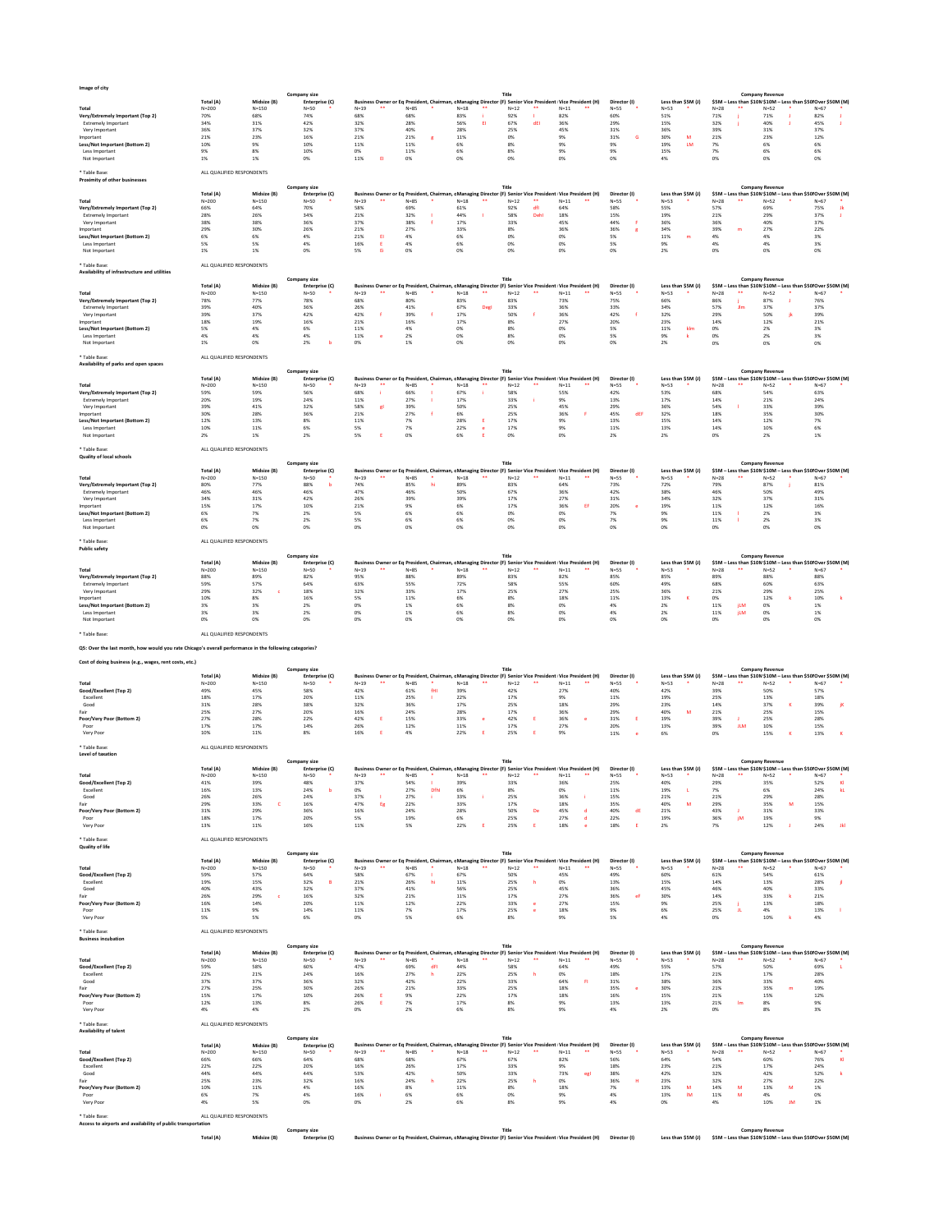## **Image of city**

\* Table Base: ALL QUALIFIED RESPONDENTS

**Proximity of other businesses**

### \* Table Base: ALL QUALIFIED RESPONDENTS

**Availability of infrastructure and utilities**

\* Table Base: ALL QUALIFIED RESPONDENTS

\* Table Base: ALL QUALIFIED RESPONDENTS **Quality of local schools**

## \* Table Base: ALL QUALIFIED RESPONDENTS

|                                  |           | <b>Company size</b> |                |        |  |      |      |          |       |                                                                                                           |              |        |                    |        | <b>Company Revenue</b> |                                                              |  |
|----------------------------------|-----------|---------------------|----------------|--------|--|------|------|----------|-------|-----------------------------------------------------------------------------------------------------------|--------------|--------|--------------------|--------|------------------------|--------------------------------------------------------------|--|
|                                  | Total (A) | Midsize (B)         | Enterprise (C) |        |  |      |      |          |       | Business Owner or Eq President, Chairman, cManaging Director (F) Senior Vice President Vice President (H) | Director (I) |        | Less than \$5M (J) |        |                        | \$5M – Less than \$10M \$10M – Less than \$50 Over \$50M (M) |  |
| <b>Total</b>                     | $N = 200$ | $N = 150$           | $N = 50$       | $N=19$ |  | N=85 | N=18 | $N = 12$ | $***$ | $N=11$                                                                                                    | $N = 55$     | $N=53$ |                    | $N=28$ | $N = 52$               | $N=67$                                                       |  |
| Very/Extremely Important (Top 2) | 70%       | 68%                 | 74%            | 68%    |  | 68%  | 83%  | 92%      |       | 82%                                                                                                       | 60%          | 51%    |                    | 71%    | 71%                    | 82%                                                          |  |
| <b>Extremely Important</b>       | 34%       | 31%                 | 42%            | 32%    |  | 28%  | 56%  | 67%      |       | 36%                                                                                                       | 29%          | 15%    |                    | 32%    | 40%                    | 45%                                                          |  |
| Very Important                   | 36%       | 37%                 | 32%            | 37%    |  | 40%  | 28%  | 25%      |       | 45%                                                                                                       | 31%          |        |                    | 39%    | 31%                    | 37%                                                          |  |
| Important                        | 21%       | 23%                 | 16%            | 21%    |  | 21%  | 11%  |          |       |                                                                                                           | 31%          |        |                    | 21%    | 23%                    | 12%                                                          |  |
| Less/Not Important (Bottom 2)    | 10%       |                     | 10%            | 11%    |  | 11%  |      | 8%       |       |                                                                                                           | 9%           | 19%    |                    | 7%     |                        |                                                              |  |
| Less Important                   | 9%        |                     | 10%            |        |  | 11%  |      |          |       |                                                                                                           | 9%           |        |                    |        |                        |                                                              |  |
| Not Important                    |           |                     |                | 11%    |  |      |      |          |       |                                                                                                           |              |        |                    |        |                        |                                                              |  |

\* Table Base: ALL QUALIFIED RESPONDENTS

**Q5: Over the last month, how would you rate Chicago's overall performance in the following categories?**

|                                  |           | <b>Company size</b> |                |          |    |          |          | Title    |    |                                                                                                              |              |        |                    |          | <b>Company Revenue</b>                                       |          |  |
|----------------------------------|-----------|---------------------|----------------|----------|----|----------|----------|----------|----|--------------------------------------------------------------------------------------------------------------|--------------|--------|--------------------|----------|--------------------------------------------------------------|----------|--|
|                                  | Total (A) | Midsize (B)         | Enterprise (C) |          |    |          |          |          |    | Business Owner or Eq President, Chairman, c Managing Director (F) Senior Vice President   Vice President (H) | Director (I) |        | Less than \$5M (J) |          | \$5M – Less than \$10M \$10M – Less than \$50 Over \$50M (M) |          |  |
| Total                            | $N = 200$ | $N = 150$           | $N=50$         | $N = 19$ | ** | $N = 85$ | $N = 18$ | $N = 12$ | ** | $N=11$                                                                                                       | $N = 55$     | $N=53$ |                    | $N = 28$ | $N = 52$                                                     | $N = 67$ |  |
| Very/Extremely Important (Top 2) | 66%       | 64%                 | 70%            | 58%      |    | 69%      | 61%      | 92%      |    | 64%                                                                                                          | 58%          | 55%    |                    | 57%      | 69%                                                          | 75%      |  |
| <b>Extremely Important</b>       | 28%       | 26%                 | 34%            | 21%      |    | 32%      | 44%      | 58%      |    | 18%                                                                                                          | 15%          | 19%    |                    | 21%      | 29%                                                          | 37%      |  |
| Very Important                   | 38%       | 38%                 | 36%            | 37%      |    | 38%      | 17%      | 33%      |    | 45%                                                                                                          | 44%          | 36%    |                    | 36%      | 40%                                                          | 37%      |  |
| Important                        | 29%       | 30%                 | 26%            | 21%      |    | 27%      | 33%      | 8%       |    | 36%                                                                                                          | 36%          | 34%    |                    | 39%      | 217                                                          | 22%      |  |
| Less/Not Important (Bottom 2)    |           |                     |                | 21%      |    | 4%       |          |          |    |                                                                                                              |              | 11%    |                    | 47       |                                                              | 3%       |  |
| Less Important                   |           |                     |                | 16%      |    | 4%       |          |          |    |                                                                                                              |              |        |                    |          |                                                              |          |  |
| Not Important                    |           |                     |                |          |    |          |          |          |    |                                                                                                              |              |        |                    |          |                                                              |          |  |

|                                  |           |             | <b>Company size</b> |            |          |        | Title          |                                                                                                            |              |                    |          | <b>Company Revenue</b>                                      |        |
|----------------------------------|-----------|-------------|---------------------|------------|----------|--------|----------------|------------------------------------------------------------------------------------------------------------|--------------|--------------------|----------|-------------------------------------------------------------|--------|
|                                  | Total (A) | Midsize (B) | Enterprise (C)      |            |          |        |                | Business Owner or Eq President, Chairman, c Managing Director (F) Senior Vice President Vice President (H) | Director (I) | Less than \$5M (J) |          | \$5M – Less than \$10M\$10M – Less than \$50 Over \$50M (M) |        |
| Total                            | $N = 200$ | $N = 150$   | $N=50$              | N=19<br>** | $N = 85$ | $N=18$ | $N = 12$<br>** | $N=11$                                                                                                     | $N = 55$     | $N=53$             | $N = 28$ | $N = 57$                                                    | $N=67$ |
| Very/Extremely Important (Top 2) | 78%       | 77%         | 78%                 | 68%        | 80%      | 83%    | 83%            | 73%                                                                                                        | 75%          | 66%                | 86%      | 87%                                                         | 76%    |
| <b>Extremely Important</b>       | 39%       | 40%         | 36%                 | 26%        | 41%      | 67%    | 33%            | 36%                                                                                                        | 33%          | 34%                | 57%      |                                                             | 37%    |
| Very Important                   | 39%       | 37%         | 42%                 | 42%        | 39%      | 17%    | 50%            | 36%                                                                                                        | 42%          |                    | 29%      |                                                             | 39%    |
| Important                        | 18%       | 19%         | 16%                 | 21%        | 16%      | 17%    |                | 27%                                                                                                        | 20%          | 23%                | 14%      | 12%                                                         | 21%    |
| Less/Not Important (Bottom 2)    |           |             |                     | 11%        |          |        |                |                                                                                                            |              | 11%                | 0%       |                                                             |        |
| Less Important                   |           |             |                     | ⊥1%        |          |        |                |                                                                                                            |              |                    |          |                                                             |        |
| Not Important                    |           |             |                     |            |          |        |                |                                                                                                            |              |                    |          |                                                             |        |

\* Table Base: ALL QUALIFIED RESPONDENTS

|  | ALL QUALIFIED RESPONDEN |
|--|-------------------------|
|  |                         |

| Availability of parks and open spaces |           |             |                     |        |    |          |          |                                                                                                             |    |          |              |     |                    |        |                        |                                                              |        |  |
|---------------------------------------|-----------|-------------|---------------------|--------|----|----------|----------|-------------------------------------------------------------------------------------------------------------|----|----------|--------------|-----|--------------------|--------|------------------------|--------------------------------------------------------------|--------|--|
|                                       |           |             | <b>Company size</b> |        |    |          |          | <b>Title</b>                                                                                                |    |          |              |     |                    |        | <b>Company Revenue</b> |                                                              |        |  |
|                                       | Total (A) | Midsize (B) | Enterprise (C)      |        |    |          |          | Business Owner or Eq President, Chairman, cManaging Director (F) Senior Vice President   Vice President (H) |    |          | Director (I) |     | Less than \$5M (J) |        |                        | \$5M - Less than \$10M \$10M - Less than \$50 Over \$50M (M) |        |  |
| <b>Total</b>                          | $N = 200$ | $N = 150$   | $N=50$              | $N=19$ | ** | $N = 85$ | $N = 18$ | $N=12$                                                                                                      | ** | $N = 11$ | $N=55$       |     | $N=53$             | $N=28$ |                        | $N=52$                                                       | $N=67$ |  |
| Very/Extremely Important (Top 2)      | 59%       | 59%         | 56%                 | 68%    |    | 66%      | 67%      | 58%                                                                                                         |    | 55%      | 42%          |     | 53%                | 68%    |                        | 54%                                                          | 63%    |  |
| <b>Extremely Important</b>            | 20%       | 19%         | 24%                 | 11%    |    | 27%      | 17%      | 33%                                                                                                         |    | 9%       | 13%          |     | 17%                | 14%    |                        | 21%                                                          | 24%    |  |
| Very Important                        | 39%       | 41%         | 32%                 | 58%    |    | 39%      | 50%      | 25%                                                                                                         |    | 45%      | 29%          |     | 36%                | 54%    |                        | 33%                                                          | 39%    |  |
| Important                             | 30%       | 28%         | 36%                 | 21%    |    | 27%      | 6%       | 25%                                                                                                         |    | 36%      | 45%          | dEF | 32%                | 18%    |                        | 35%                                                          | 30%    |  |
| Less/Not Important (Bottom 2)         | 12%       | 13%         | 8%                  | 11%    |    | 7%       | 28%      | 17%                                                                                                         |    |          | 13%          |     | 15%                | 14%    |                        | 12%                                                          |        |  |
| Less Important                        | 10%       | 11%         | 6%                  |        |    | 7%       | 22%      | 17%                                                                                                         |    |          | 11%          |     | 13%                | 14%    |                        | 10%                                                          | 6%     |  |
| Not Important                         | 2%        | 1%          | 2%                  |        |    |          | 6%       | 0%                                                                                                          |    |          | 2%           |     | 2%                 | 0%     |                        | 2%                                                           |        |  |

|                                  |           |             | <b>Company size</b> |              |        |      | Title                                                                                                      |                |              |                    |          | <b>Company Revenue</b>                                       |        |
|----------------------------------|-----------|-------------|---------------------|--------------|--------|------|------------------------------------------------------------------------------------------------------------|----------------|--------------|--------------------|----------|--------------------------------------------------------------|--------|
|                                  | Total (A) | Midsize (B) | Enterprise (C)      |              |        |      | Business Owner or Eq President, Chairman, c Managing Director (F) Senior Vice President Vice President (H) |                | Director (I) | Less than \$5M (J) |          | \$5M – Less than \$10M \$10M – Less than \$50 Over \$50M (M) |        |
| <b>Total</b>                     | $N = 200$ | $N = 150$   | $N=50$              | **<br>$N=19$ | $N=85$ | N=18 | $N = 12$<br>**                                                                                             | **<br>$N = 11$ | $N=55$       | $N=53$             | $N = 28$ | $N=52$                                                       | $N=67$ |
| Very/Extremely Important (Top 2) | 80%       | 77%         | 88%                 | 74%          | 85%    | 89%  | 83%                                                                                                        | 64%            | 73%          | 72%                | 79%      | 87%                                                          | 81%    |
| <b>Extremely Important</b>       | 46%       | 46%         | 46%                 | 47%          | 46%    | 50%  | 67%                                                                                                        | 36%            | 42%          | 38%                | 46%      | 50%                                                          | 49%    |
| Very Important                   | 34%       | 31%         | 42%                 | 26%          | 39%    | 39%  | 17%                                                                                                        | 27%            | 31%          | 34%                | 32%      | 37%                                                          | 31%    |
| Important                        | 15%       | 17%         | 10%                 | 21%          | 9%     |      | 17%                                                                                                        | 36%            |              | 19%                | 11%      | 12%                                                          | 16%    |
| Less/Not Important (Bottom 2)    | 6%        |             |                     |              |        |      |                                                                                                            |                |              | 9%                 | 11%      | 2%                                                           |        |
| Less Important                   | 6%        |             |                     |              |        |      |                                                                                                            |                |              |                    | 11%      | 2%                                                           |        |
| Not Important                    |           |             |                     |              |        |      |                                                                                                            |                |              |                    |          |                                                              |        |

### \* Table Base: ALL QUALIFIED RESPONDENTS

| <b>Public safety</b>             |           |             |                     |              |      |      |              |                                                                                                           |              |                    |        |                                                              |        |
|----------------------------------|-----------|-------------|---------------------|--------------|------|------|--------------|-----------------------------------------------------------------------------------------------------------|--------------|--------------------|--------|--------------------------------------------------------------|--------|
|                                  |           |             | <b>Company size</b> |              |      |      | <b>Title</b> |                                                                                                           |              |                    |        | <b>Company Revenue</b>                                       |        |
|                                  | Total (A) | Midsize (B) | Enterprise (C)      |              |      |      |              | Business Owner or Eq President, Chairman, cManaging Director (F) Senior Vice President Vice President (H) | Director (I) | Less than \$5M (J) |        | \$5M – Less than \$10M \$10M – Less than \$50 Over \$50M (M) |        |
| <b>Total</b>                     | $N = 200$ | $N = 150$   | $N=50$              | **<br>$N=19$ | N=85 | N=18 | $N = 12$     | $N=11$                                                                                                    | $N = 55$     | $N=53$             | $N=28$ | $N=52$                                                       | $N=67$ |
| Very/Extremely Important (Top 2) | 88%       | 89%         | 82%                 | 95%          | 88%  | 89%  | 83%          | 82%                                                                                                       | 85%          | 85%                | 89%    | 88%                                                          | 88%    |
| <b>Extremely Important</b>       | 59%       | 57%         | 64%                 | 63%          | 55%  | 72%  | 58%          | 55%                                                                                                       | 60%          | 49%                | 68%    | 60%                                                          | 63%    |
| Very Important                   | 29%       | 32%         | 18%                 | 32%          | 33%  | 17%  | 25%          | 27%                                                                                                       | 25%          | 36%                | 21%    | 29%                                                          | 25%    |
| Important                        | 10%       |             | 16%                 | 5%           | 11%  |      | 8%           | 18%                                                                                                       | 11%          | 13%                |        | 12%                                                          | 10%    |
| Less/Not Important (Bottom 2)    | 3%        |             | 2%                  | 0%           | 1%   |      | 8%           | 0%                                                                                                        | 4%           | 2%                 | 11%    | 0%                                                           |        |
| Less Important                   | 3%        |             |                     | 0%           | 1%   |      |              | 0%                                                                                                        |              | 2%                 | 11%    | 0%                                                           |        |
| Not Important                    |           |             |                     |              |      |      |              | 0%                                                                                                        |              |                    |        |                                                              | 0%     |

| Cost of doing business (e.g., wages, rent costs, etc.) |           |             |                     |        |                                                                                                           |        |          |        |    |              |        |                     |        |     |                        |                                                              |  |
|--------------------------------------------------------|-----------|-------------|---------------------|--------|-----------------------------------------------------------------------------------------------------------|--------|----------|--------|----|--------------|--------|---------------------|--------|-----|------------------------|--------------------------------------------------------------|--|
|                                                        |           |             | <b>Company size</b> |        |                                                                                                           |        |          |        |    |              |        |                     |        |     | <b>Company Revenue</b> |                                                              |  |
|                                                        | Total (A) | Midsize (B) | Enterprise (C)      |        | Business Owner or Eq President, Chairman, cManaging Director (F) Senior Vice President Vice President (H) |        |          |        |    | Director (I) |        | Less than $$5M$ (J) |        |     |                        | \$5M - Less than \$10M \$10M - Less than \$50 Over \$50M (M) |  |
| <b>Total</b>                                           | $N = 200$ | $N = 150$   | $N = 50$            | $N=19$ | $N = 85$                                                                                                  | $N=18$ | $N = 12$ | $N=11$ | ∗∗ | $N = 55$     | $N=53$ |                     | $N=28$ |     | $N=52$                 | $N = 67$                                                     |  |
| Good/Excellent (Top 2)                                 | 49%       | 45%         | 58%                 | 42%    | 61%                                                                                                       | 39%    | 42%      | 27%    |    | 40%          | 42%    |                     | 39%    |     | 50%                    | 57%                                                          |  |
| Excellent                                              | 18%       | 17%         | 20%                 | 11%    | 25%                                                                                                       | 22%    | 17%      | 9%     |    | 11%          | 19%    |                     | 25%    |     | 13%                    | 18%                                                          |  |
| Good                                                   | 31%       | 28%         | 38%                 | 32%    | 36%                                                                                                       | 17%    | 25%      | 18%    |    | 29%          | 23%    |                     | 14%    |     |                        | 39%                                                          |  |
| Fair                                                   | 25%       | 27%         | 20%                 | 16%    | 24%                                                                                                       | 28%    | 17%      | 36%    |    | 29%          | 40%    |                     | 21%    |     | 25%                    | 15%                                                          |  |
| <b>Poor/Very Poor (Bottom 2)</b>                       | 27%       | 28%         | 22%                 | 42%    | 15%                                                                                                       | 33%    | 42%      | 36%    |    | 31%          | 19%    |                     | 39%    |     | 25%                    | 28%                                                          |  |
| Poor                                                   | 17%       | 17%         | 14%                 | 26%    | 12%                                                                                                       | 11%    | 17%      | 27%    |    | 20%          | 13%    |                     | 39%    | JLM | 10%                    | 15%                                                          |  |
| Very Poor                                              | 10%       | 11%         |                     | 16%    | 4%                                                                                                        | 22%    | 25%      |        |    | 11%          |        |                     |        |     | 15%                    | 13%                                                          |  |

| Level of taxation         |           |             |                |              |             |          |                                                                                                           |              |                    |                                                              |          |
|---------------------------|-----------|-------------|----------------|--------------|-------------|----------|-----------------------------------------------------------------------------------------------------------|--------------|--------------------|--------------------------------------------------------------|----------|
|                           |           |             | Company size   |              |             |          | Title                                                                                                     |              |                    | <b>Company Revenue</b>                                       |          |
|                           | Total (A) | Midsize (B) | Enterprise (C) |              |             |          | Business Owner or Eq President, Chairman, cManaging Director (F) Senior Vice President Vice President (H) | Director (I) | Less than \$5M (J) | \$5M – Less than \$10M \$10M – Less than \$50 Over \$50M (M) |          |
| <b>Total</b>              | $N = 200$ | $N = 150$   | $N=50$         | $N=19$<br>** | N=85        | $N = 18$ | $N = 12$<br>$N = 11$                                                                                      | $N = 55$     | $N=53$             | $N = 52$<br>$N=28$                                           | $N = 67$ |
| Good/Excellent (Top 2)    | 41%       | 39%         | 48%            | 37%          | 54%         | 39%      | 36%<br>33%                                                                                                | 25%          | 40%                | 29%<br>35%                                                   | 52%      |
| Excellent                 | 16%       | 13%         | 24%            |              | 27%<br>Dfhl | 6%       | 0%<br>8%                                                                                                  | 11%          | 19%                | 6%                                                           | 24%      |
| Good                      | 26%       | 26%         | 24%            | 37%          | 27%         | 33%      | 25%<br>36%                                                                                                | 15%          | 21%                | 21%<br>29%                                                   | 28%      |
| Fair                      | 29%       | 33%         | 16%            | 47%          | 22%         | 33%      | 17%<br>18%                                                                                                | 35%          | 40%                | 29%<br>35%                                                   | 15%      |
| Poor/Very Poor (Bottom 2) | 31%       | 29%         | 36%            | 16%          | 24%         | 28%      | 45%<br>50%<br>De                                                                                          | 40%          | 21%                | 43%<br>31%                                                   | 33%      |
| Poor                      | 18%       | 17%         | 20%            | 5%           | 19%         | 6%       | 27%<br>25%                                                                                                | 22%          | 19%                | 36%<br>19%                                                   | 9%       |
| Very Poor                 | 13%       | 11%         | 16%            | 11%          |             | 22%      | 25%<br>18%                                                                                                |              |                    |                                                              | 24%      |

| <b>Quality of life</b>                                       |                           |             |                     |                   |                                                                                                              |     |                 |              |          |        |       |              |        |                    |        |       |                                                              |              |        |      |
|--------------------------------------------------------------|---------------------------|-------------|---------------------|-------------------|--------------------------------------------------------------------------------------------------------------|-----|-----------------|--------------|----------|--------|-------|--------------|--------|--------------------|--------|-------|--------------------------------------------------------------|--------------|--------|------|
|                                                              |                           |             | <b>Company size</b> |                   |                                                                                                              |     |                 | <b>Title</b> |          |        |       |              |        |                    |        |       | <b>Company Revenue</b>                                       |              |        |      |
|                                                              | Total (A)                 | Midsize (B) | Enterprise (C)      |                   | Business Owner or Eq President, Chairman, c Managing Director (F) Senior Vice President   Vice President (H) |     |                 |              |          |        |       | Director (I) |        | Less than \$5M (J  |        |       | \$5M - Less than \$10M \$10M - Less than \$50 Over \$50M (M) |              |        |      |
| <b>Total</b>                                                 | $N = 200$                 | $N = 150$   | $N=50$              | $***$<br>$N = 19$ | $N=85$                                                                                                       |     | $***$<br>$N=18$ | $N=12$       |          | $N=11$ | **    | $N=55$       | $N=53$ |                    | $N=28$ | $***$ | $N=52$                                                       |              | $N=67$ |      |
| Good/Excellent (Top 2)                                       | 59%                       | 57%         | 64%                 | 58%               | 67%                                                                                                          |     | 67%             | 50%          |          | 45%    |       | 49%          | 60%    |                    | 61%    |       | 54%                                                          |              | 61%    |      |
| Excellent                                                    | 19%                       | 15%         | 32%<br>B            | 21%               | 26%                                                                                                          | hi  | 11%             | 25%          | <b>h</b> | 0%     |       | 13%          | 15%    |                    | 14%    |       | 13%                                                          |              | 28%    |      |
| Good                                                         | 40%                       | 43%         | 32%                 | 37%               | 41%                                                                                                          |     | 56%             | 25%          |          | 45%    |       | 36%          | 45%    |                    | 46%    |       | 40%                                                          |              | 33%    |      |
| Fair                                                         | 26%                       | 29%         | 16%                 | 32%               | 21%                                                                                                          |     | 11%             | 17%          |          | 27%    |       | 36%<br>eF    | 30%    |                    | 14%    |       | 33%                                                          |              | 21%    |      |
| Poor/Very Poor (Bottom 2)                                    | 16%                       | 14%         | 20%                 | 11%               | 12%                                                                                                          |     | 22%             | 33%          | e.       | 27%    |       | 15%          | 9%     |                    | 25%    |       | 13%                                                          |              | 18%    |      |
| Poor                                                         | 11%                       | 9%          | 14%                 | 11%               | 7%                                                                                                           |     | 17%             | 25%          |          | 18%    |       | 9%           | 6%     |                    | 25%    |       | 4%                                                           |              | 13%    |      |
| Very Poor                                                    | 5%                        | 5%          | 6%                  | 0%                | 5%                                                                                                           |     | 6%              | 8%           |          | 9%     |       | 5%           | 4%     |                    | 0%     |       | 10%                                                          |              | 4%     |      |
| * Table Base:                                                | ALL QUALIFIED RESPONDENTS |             |                     |                   |                                                                                                              |     |                 |              |          |        |       |              |        |                    |        |       |                                                              |              |        |      |
| <b>Business incubation</b>                                   |                           |             |                     |                   |                                                                                                              |     |                 |              |          |        |       |              |        |                    |        |       |                                                              |              |        |      |
|                                                              |                           |             | <b>Company size</b> |                   |                                                                                                              |     |                 | <b>Title</b> |          |        |       |              |        |                    |        |       | <b>Company Revenue</b>                                       |              |        |      |
|                                                              | Total (A)                 | Midsize (B) | Enterprise (C)      |                   | Business Owner or Eq President, Chairman, cManaging Director (F) Senior Vice President Vice President (H)    |     |                 |              |          |        |       | Director (I) |        | Less than \$5M (J  |        |       | \$5M - Less than \$10M \$10M - Less than \$50 Over \$50M (M) |              |        |      |
| <b>Total</b>                                                 | $N = 200$                 | $N = 150$   | $N=50$              | **<br>$N = 19$    | $N = 85$                                                                                                     |     | $***$<br>$N=18$ | $N=12$       | $***$    | $N=11$ | **    | $N=55$       | $N=53$ |                    | $N=28$ | **    | $N=52$                                                       |              | $N=67$ |      |
| Good/Excellent (Top 2)                                       | 59%                       | 58%         | 60%                 | 47%               | 69%                                                                                                          | dFI | 44%             | 58%          |          | 64%    |       | 49%          | 55%    |                    | 57%    |       | 50%                                                          |              | 69%    |      |
| Excellent                                                    | 22%                       | 21%         | 24%                 | 16%               | 27%                                                                                                          |     | 22%             | 25%          |          | 0%     |       | 18%          | 17%    |                    | 21%    |       | 17%                                                          |              | 28%    |      |
| Good                                                         | 37%                       | 37%         | 36%                 | 32%               | 42%                                                                                                          |     | 22%             | 33%          |          | 64%    | -FI   | 31%          | 38%    |                    | 36%    |       | 33%                                                          |              | 40%    |      |
| Fair                                                         | 27%                       | 25%         | 30%                 | 26%               | 21%                                                                                                          |     | 33%             | 25%          |          | 18%    |       | 35%          | 30%    |                    | 21%    |       | 35%                                                          | m            | 19%    |      |
| Poor/Very Poor (Bottom 2)                                    | 15%                       | 17%         | 10%                 | 26%               | 9%                                                                                                           |     | 22%             | 17%          |          | 18%    |       | 16%          | 15%    |                    | 21%    |       | 15%                                                          |              | 12%    |      |
| Poor                                                         | 12%                       | 13%         | 8%                  | 26%               | 7%                                                                                                           |     | 17%             | 8%           |          | 9%     |       | 13%          | 13%    |                    | 21%    | Im    | 8%                                                           |              | 9%     |      |
| Very Poor                                                    | 4%                        | 4%          | 2%                  | 0%                | 2%                                                                                                           |     | 6%              | 8%           |          | 9%     |       | 4%           | 2%     |                    | 0%     |       | 8%                                                           |              | 3%     |      |
| * Table Base:                                                | ALL QUALIFIED RESPONDENTS |             |                     |                   |                                                                                                              |     |                 |              |          |        |       |              |        |                    |        |       |                                                              |              |        |      |
| <b>Availability of talent</b>                                |                           |             |                     |                   |                                                                                                              |     |                 |              |          |        |       |              |        |                    |        |       |                                                              |              |        |      |
|                                                              |                           |             | <b>Company size</b> |                   |                                                                                                              |     |                 | <b>Title</b> |          |        |       |              |        |                    |        |       | <b>Company Revenue</b>                                       |              |        |      |
|                                                              | Total (A)                 | Midsize (B) | Enterprise (C)      |                   | Business Owner or Eq President, Chairman, c Managing Director (F) Senior Vice President   Vice President (H) |     |                 |              |          |        |       | Director (I) |        | Less than \$5M (J  |        |       | \$5M - Less than \$10M \$10M - Less than \$50 Over \$50M (M) |              |        |      |
| <b>Total</b>                                                 | $N = 200$                 | $N = 150$   | $N=50$              | $***$<br>$N=19$   | $N=85$                                                                                                       |     | $***$<br>$N=18$ | $N=12$       | $***$    | $N=11$ | $***$ | $N=55$       | $N=53$ |                    | $N=28$ | **    | $N=52$                                                       |              | $N=67$ |      |
| Good/Excellent (Top 2)                                       | 66%                       | 66%         | 64%                 | 68%               | 68%                                                                                                          |     | 67%             | 67%          |          | 82%    |       | 56%          | 64%    |                    | 54%    |       | 60%                                                          |              | 76%    | - KI |
| Excellent                                                    | 22%                       | 22%         | 20%                 | 16%               | 26%                                                                                                          |     | 17%             | 33%          |          | 9%     |       | 18%          | 23%    |                    | 21%    |       | 17%                                                          |              | 24%    |      |
| Good                                                         | 44%                       | 44%         | 44%                 | 53%               | 42%                                                                                                          |     | 50%             | 33%          |          | 73%    | egl   | 38%          | 42%    |                    | 32%    |       | 42%                                                          |              | 52%    |      |
| Fair                                                         | 25%                       | 23%         | 32%                 | 16%               | 24%                                                                                                          |     | 22%             | 25%          |          | 0%     |       | 36%          | 23%    |                    | 32%    |       | 27%                                                          |              | 22%    |      |
| Poor/Very Poor (Bottom 2)                                    | 10%                       | 11%         | 4%                  | 16%               | 8%                                                                                                           |     | 11%             | 8%           |          | 18%    |       | 7%           | 13%    | M                  | 14%    | M     | 13%                                                          | $\mathsf{M}$ | 1%     |      |
| Poor                                                         | 6%                        | 7%          | 4%                  | 16%               | 6%                                                                                                           |     | 6%              | 0%           |          | 9%     |       | 4%           | 13%    | IM                 | 11%    | M     | 4%                                                           |              | 0%     |      |
| Very Poor                                                    | 4%                        | 5%          | 0%                  | 0%                | 2%                                                                                                           |     | 6%              | 8%           |          | 9%     |       | 4%           | 0%     |                    | 4%     |       | 10%                                                          | JM           | 1%     |      |
| * Table Base:                                                | ALL QUALIFIED RESPONDENTS |             |                     |                   |                                                                                                              |     |                 |              |          |        |       |              |        |                    |        |       |                                                              |              |        |      |
| Access to airports and availability of public transportation |                           |             |                     |                   |                                                                                                              |     |                 |              |          |        |       |              |        |                    |        |       |                                                              |              |        |      |
|                                                              |                           |             | <b>Company size</b> |                   |                                                                                                              |     |                 | <b>Title</b> |          |        |       |              |        |                    |        |       | <b>Company Revenue</b>                                       |              |        |      |
|                                                              | Total (A)                 | Midsize (B) | Enterprise (C)      |                   | Business Owner or Eq President, Chairman, c Managing Director (F) Senior Vice President   Vice President (H) |     |                 |              |          |        |       | Director (I) |        | Less than \$5M (J) |        |       | \$5M - Less than \$10M \$10M - Less than \$50 Over \$50M (M) |              |        |      |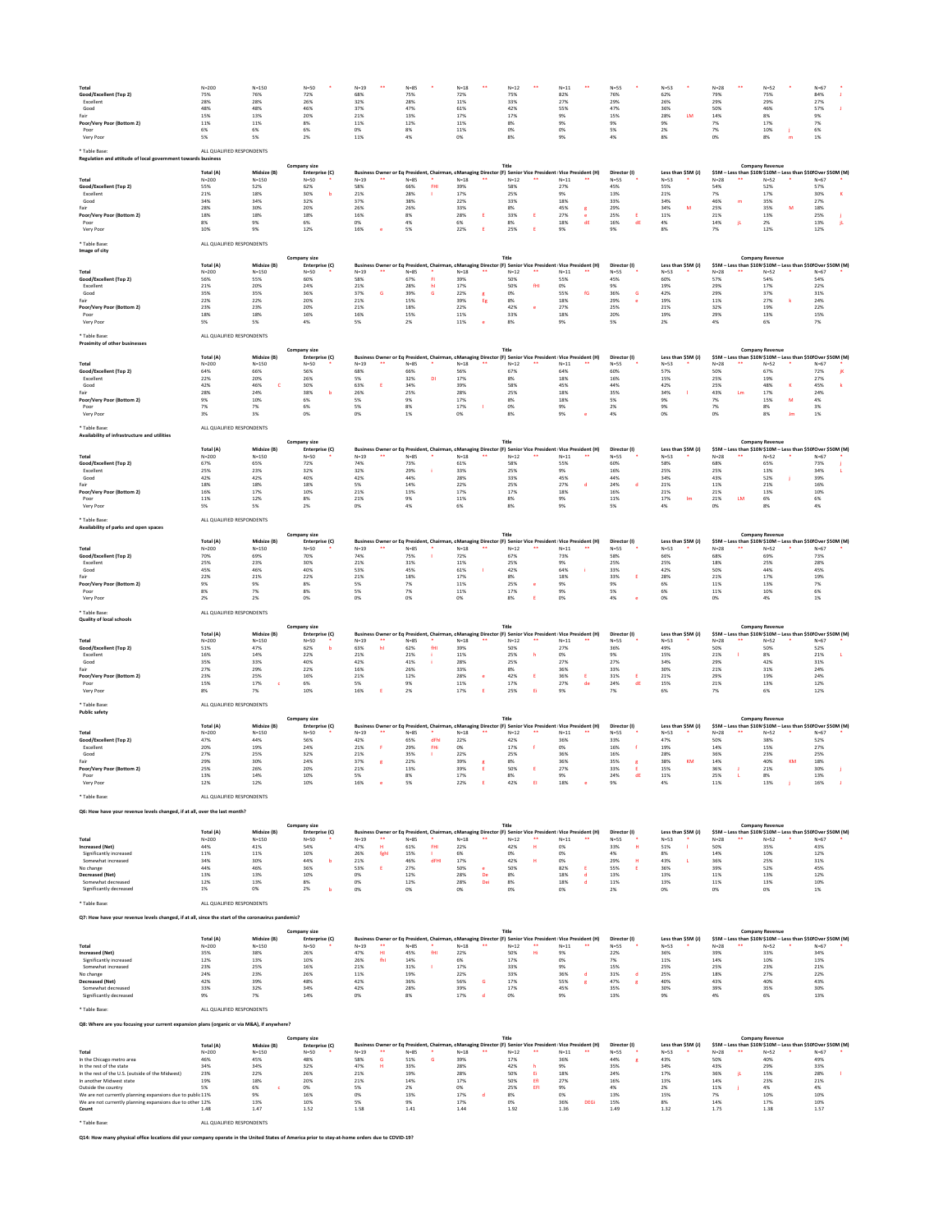| <b>Total</b>              | $N = 200$ | $N = 150$ | $N=50$ | $N=19$<br>** | $N=85$ | $N=18$<br>** | $N=12$<br>** | $N=11$<br>** | $N = 55$ | $N = 53$ | $N=28$       | $N=52$<br>** | $N=67$ |
|---------------------------|-----------|-----------|--------|--------------|--------|--------------|--------------|--------------|----------|----------|--------------|--------------|--------|
| Good/Excellent (Top 2)    | 75%       | 76%       | 72%    | 68%          | 75%    | 72%          | 75%          | 82%          | 76%      | 62%      | 79%          | 75%          | 84%    |
| Excellent                 | 28%       | 28%       | 26%    | 32%          | 28%    | 11%          | 33%          | 27%          | 29%      | 26%      | 29%          | 29%          | 27%    |
| Good                      | 48%       | 48%       | 46%    | 37%          | 47%    | 61%          | 42%          | 55%          | 47%      | 36%      | 50%          | 46%          | 57%    |
| Fair                      | 15%       | 13%       | 20%    | 21%          | 13%    | 17%          | 17%          | 9%           | 15%      | 28%      | 14%          | 8%           | $Q_0$  |
| Poor/Very Poor (Bottom 2) | 11%       | 11%       | 8%     | 11%          | 12%    | 11%          | 8%           | 9%           | 9%       | 9%       | 1/0          | 17%          | 7%     |
| Poor                      |           |           | 6%     | 0%           | 8%     | 11%          | 0%           | 0%           | 5%       | 2/0      | 70/<br>$1\%$ | 10%          | U70    |
| Very Poor                 |           |           |        | 11%          | 4%     |              | 8%           | 9%           | 4%       | 8%       | 0%           |              | 1%     |

\* Table Base: ALL QUALIFIED RESPONDENTS

Poor 8% 9% 6% 0% 4% 6% 8% 18% dE 16% dE 4% 14% jL 2% 13% jL

Very Poor 10% 9% 12% 16% e 5% 22% E 25% E 9% 9% 8% 7% 12% 12%

\* Table Base: ALL QUALIFIED RESPONDENTS

|  | ALL QUALIFIED RESPONDEI |  |
|--|-------------------------|--|
|  |                         |  |

\* Table Base: ALL QUALIFIED RESPONDENTS

\* Table Base: ALL QUALIFIED RESPONDENTS

**Availability of infrastructure and utilities**

|                           | Total (A) | Midsize (B) | Enterprise (C) |          |          |            |                | Business Owner or Eq President, Chairman, cManaging Director (F) Senior Vice President Vice President (H) | Director (I) | Less than \$5M (J) |           | \$5M – Less than \$10M\$10M – Less than \$50 Over \$50M (M) |      |
|---------------------------|-----------|-------------|----------------|----------|----------|------------|----------------|-----------------------------------------------------------------------------------------------------------|--------------|--------------------|-----------|-------------------------------------------------------------|------|
| Total                     | N=200     | $N = 150$   | $N=50$         | $N = 19$ | $N = 85$ | $N = 18$   | **<br>$N = 12$ | $N = 11$                                                                                                  | N=55         | $N=53$             | $N=28$    | $N = 52$                                                    | N=67 |
| Good/Excellent (Top 2)    | 57%       | 65%         | 72%            | 74%      | 73%      | 61%        | 58%            | 55%                                                                                                       |              | 58%                | 68%       | 65%                                                         | 73%  |
| Excellent                 | 25%       | 23%         | 32%            |          | 29%      | 33%        | 25%            |                                                                                                           | 16%          | 25%                | 25%       | 13%                                                         |      |
| Good                      |           | 42%         |                | 42%      | 44%      | <b>28%</b> |                | 45%                                                                                                       | 44%          |                    | 43%       | 52%                                                         |      |
|                           | 18%       | 18%         | 18%            |          | 14%      | 22%        | 25%            |                                                                                                           | 24%          | 21%                | 11%       | 7170                                                        | 16%  |
| Poor/Very Poor (Bottom 2) | 16%       | 17%         | 10%            | 21%      | 13%      | 17%        | 17%            | 18%                                                                                                       | 16%          | 21%                | 21%       | 13%                                                         | 10%  |
| Poor                      | 11%       | 12%         |                | 21%      |          | 11%        |                |                                                                                                           | 11%          | 17%                | 21%<br>LM | 6%                                                          |      |
| Very Poor                 |           |             |                |          |          |            |                |                                                                                                           |              |                    |           |                                                             |      |

| ALL QUALIFIED RESPONDENTS |
|---------------------------|
|                           |

\* Table Base: ALL QUALIFIED RESPONDENTS

**Quality of local schools**

| Taple Dase.                                                  | ALL QUALITILD RESPONDENTS |             |                |              |            |                |                   |                                                                                                            |              |                    |        |                                                              |        |  |
|--------------------------------------------------------------|---------------------------|-------------|----------------|--------------|------------|----------------|-------------------|------------------------------------------------------------------------------------------------------------|--------------|--------------------|--------|--------------------------------------------------------------|--------|--|
| Regulation and attitude of local government towards business |                           |             |                |              |            |                |                   |                                                                                                            |              |                    |        |                                                              |        |  |
|                                                              |                           |             | Company size   |              |            |                | Title             |                                                                                                            |              |                    |        | <b>Company Revenue</b>                                       |        |  |
|                                                              | Total (A)                 | Midsize (B) | Enterprise (C) |              |            |                |                   | Business Owner or Eq President, Chairman, c Managing Director (F) Senior Vice President Vice President (H) | Director (I) | Less than $$5M(J)$ |        | \$5M - Less than \$10M \$10M - Less than \$50 Over \$50M (M) |        |  |
| <b>Total</b>                                                 | $N = 200$                 | $N = 150$   | $N = 50$       | $N=19$<br>** | $N = 85$   | **<br>$N = 18$ | $***$<br>$N = 12$ | $N=11$<br>**                                                                                               | $N=55$       | $N=53$             | $N=28$ | $N=52$                                                       | $N=67$ |  |
| <b>Good/Excellent (Top 2)</b>                                | 55%                       | 52%         | 62%            | 58%          | 66%<br>FHI | 39%            | 58%               | 27%                                                                                                        | 45%          | 55%                | 54%    | 52%                                                          | 57%    |  |
| Excellent                                                    | 21%                       | 18%         | 30%            | 21%          | 28%        | 17%            | 25%               | 9%                                                                                                         | 13%          | 21%                | 7%     |                                                              | 30%    |  |
| Good                                                         | 34%                       | 34%         | 32%            | 37%          | 38%        | 22%            | 33%               | 18%                                                                                                        | 33%          | 34%                | 46%    | 35%                                                          | 27%    |  |
| Fair                                                         | 28%                       | 30%         | 20%            | 26%          | 26%        | 33%            | 8%                | 45%                                                                                                        | 29%          | 34%                | 25%    | 35%                                                          | 18%    |  |
| Poor/Very Poor (Bottom 2)                                    | 18%                       | 18%         | 18%            | 16%          | 8%         | 28%            | 33%               | 27%                                                                                                        | 25%          | 11%                | 21%    | 13%                                                          | 25%    |  |
|                                                              |                           |             |                |              |            |                |                   |                                                                                                            |              |                    |        |                                                              |        |  |

#### \* Table Base: ALL QUALIFIED RESPONDENTS

| Image of city                 |           |             |                     |          |    |      |                                                                                                            |          |    |      |              |        |                    |        |    |                        |                                                              |  |
|-------------------------------|-----------|-------------|---------------------|----------|----|------|------------------------------------------------------------------------------------------------------------|----------|----|------|--------------|--------|--------------------|--------|----|------------------------|--------------------------------------------------------------|--|
|                               |           |             | <b>Company size</b> |          |    |      |                                                                                                            | Title    |    |      |              |        |                    |        |    | <b>Company Revenue</b> |                                                              |  |
|                               | Total (A) | Midsize (B) | Enterprise (C)      |          |    |      | Business Owner or Eq President, Chairman, c Managing Director (F) Senior Vice President Vice President (H) |          |    |      | Director (I) |        | Less than \$5M (J) |        |    |                        | \$5M – Less than \$10M \$10M – Less than \$50 Over \$50M (M) |  |
| <b>Total</b>                  | $N = 200$ | $N = 150$   | $N=50$              | $N = 19$ | ** | N=85 | $N=18$                                                                                                     | $N = 12$ | ** | N=11 | $N = 55$     | $N=53$ |                    | $N=28$ | ∗∗ | $N=52$                 | $N=67$                                                       |  |
| <b>Good/Excellent (Top 2)</b> | 56%       | 55%         | 60%                 | 58%      |    | 67%  | 39%                                                                                                        | 50%      |    | 55%  | 45%          | 60%    |                    | 57%    |    | 54%                    | 54%                                                          |  |
| Excellent                     | 21%       | 20%         | 24%                 | 21%      |    | 28%  | 17%                                                                                                        | 50%      |    | 0%   |              | 19%    |                    | 29%    |    | 17%                    | 22%                                                          |  |
| Good                          | 35%       | 35%         | 36%                 | 37%      |    | 39%  | 22%                                                                                                        | 0%       |    | 55%  | 36%          | 42%    |                    | 29%    |    | 37%                    | 31%                                                          |  |
| Fair                          | 22%       | 22%         | 20%                 | 21%      |    | 15%  | 39%                                                                                                        | 8%       |    | 18%  | 29%          | 19%    |                    | 11%    |    | 27%                    | 24%                                                          |  |
| Poor/Very Poor (Bottom 2)     | 23%       | 23%         | 20%                 | 21%      |    | 18%  | 22%                                                                                                        | 42%      |    | 27%  | 25%          | 21%    |                    | 32%    |    | 19%                    | 22%                                                          |  |
| Poor                          | 18%       | 18%         | 16%                 | 16%      |    | 15%  | 11%                                                                                                        | 33%      |    | 18%  | 20%          | 19%    |                    | 29%    |    | 13%                    | 15%                                                          |  |
| Very Poor                     |           |             |                     | 50       |    |      | 11%                                                                                                        | 8%       |    | 9%   |              | no.    |                    |        |    | 6%                     |                                                              |  |

| <b>Proximity of other businesses</b> |           |             |                     |              |          |                |              |                                                                                                             |              |                    |              |                                                              |        |
|--------------------------------------|-----------|-------------|---------------------|--------------|----------|----------------|--------------|-------------------------------------------------------------------------------------------------------------|--------------|--------------------|--------------|--------------------------------------------------------------|--------|
|                                      |           |             | <b>Company size</b> |              |          |                | Title        |                                                                                                             |              |                    |              | <b>Company Revenue</b>                                       |        |
|                                      | Total (A) | Midsize (B) | Enterprise (C)      |              |          |                |              | Business Owner or Eq President, Chairman, cManaging Director (F) Senior Vice President   Vice President (H) | Director (I) | Less than \$5M (J) |              | \$5M - Less than \$10M \$10M - Less than \$50 Over \$50M (M) |        |
| Total                                | $N = 200$ | $N = 150$   | $N = 50$            | **<br>$N=19$ | $N = 85$ | $N = 18$<br>** | **<br>$N=12$ | $N=11$<br>$***$                                                                                             | $N = 55$     | $N=53$             | $N=28$<br>** | $N=52$                                                       | $N=67$ |
| <b>Good/Excellent (Top 2)</b>        | 64%       | 66%         | 56%                 | 68%          | 66%      | 56%            | 67%          | 64%                                                                                                         | 60%          | 57%                | 50%          | 67%                                                          | 72%    |
| Excellent                            | 22%       | 20%         | 26%                 | 5%           | 32%      | 17%            | 8%           | 18%                                                                                                         | 16%          | 15%                | 25%          | 19%                                                          | 27%    |
| Good                                 | 42%       | 46%         | 30%                 | 63%          | 34%      | 39%            | 58%          | 45%                                                                                                         | 44%          | 42%                | 25%          | 48%                                                          | 45%    |
| Fair                                 | 28%       | 24%         | 38%                 | 26%          | 25%      | 28%            | 25%          | 18%                                                                                                         | 35%          | 34%                | 43%<br>Lm.   | 17%                                                          | 24%    |
| Poor/Very Poor (Bottom 2)            | 9%        | 10%         | 6%                  |              | 9%       | 17%            | 8%           | 18%                                                                                                         | 5%           | 9%                 | 7%           | 15%<br>M                                                     | 4%     |
| Poor                                 | 7%        | 7%          | 6%                  |              |          | 17%            | 0%           | 9%                                                                                                          | 2%           | 9%                 | 7%           | 8%                                                           |        |
| Very Poor                            | 3%        | 3%          | 0%                  |              |          | 0%             | 8%           | 9%                                                                                                          |              | 0%                 | 0%           | 8%                                                           | 1%     |
|                                      |           |             |                     |              |          |                |              |                                                                                                             |              |                    |              |                                                              |        |

\* Table Base: ALL QUALIFIED RESPONDENTS

## **Q6: How have your revenue levels changed, if at all, over the last month?**

| Availability of parks and open spaces |           |             |                     |                |                                                                                                           |      |              |      |              |                    |        |                                                             |        |
|---------------------------------------|-----------|-------------|---------------------|----------------|-----------------------------------------------------------------------------------------------------------|------|--------------|------|--------------|--------------------|--------|-------------------------------------------------------------|--------|
|                                       |           |             | <b>Company size</b> |                |                                                                                                           |      | <b>Title</b> |      |              |                    |        | <b>Company Revenue</b>                                      |        |
|                                       | Total (A) | Midsize (B) | Enterprise (C)      |                | Business Owner or Eq President, Chairman, cManaging Director (F) Senior Vice President Vice President (H) |      |              |      | Director (I) | Less than \$5M (J) |        | \$5M – Less than \$10M\$10M – Less than \$50 Over \$50M (M) |        |
| Total                                 | $N = 200$ | $N = 150$   | $N = 50$            | $N = 19$<br>** | $N = 85$                                                                                                  | N=18 | $N=12$       | N=11 | $N=55$       | $N=53$             | $N=28$ | $N=52$                                                      | $N=67$ |
| Good/Excellent (Top 2)                | 70%       | 69%         | 70%                 | 74%            | 75%                                                                                                       | 72%  | 67%          | 73%  | 58%          | 66%                | 68%    | 69%                                                         | 73%    |
| Excellent                             | 25%       | 23%         | 30%                 | 21%            | 31%                                                                                                       | 11%  | 25%          | 9%   | 25%          | 25%                | 18%    | 25%                                                         | 28%    |
| Good                                  | 45%       | 46%         | 40%                 | 53%            | 45%                                                                                                       | 61%  | 42%          | 64%  | 33%          | 42%                | 50%    | 44%                                                         | 45%    |
| Fair                                  | 22%       | 21%         | 22%                 | 21%            | 18%                                                                                                       | 17%  | 8%           | 18%  | 33%          | 28%                | 21%    | 17%                                                         | 19%    |
| <b>Poor/Very Poor (Bottom 2)</b>      | 9%        |             |                     |                | 7%                                                                                                        | 11%  | 25%          | 9%   |              | 6%                 | 11%    | 13%                                                         | 7%     |
|                                       | 8%        | 170         | 8%                  |                | 7%                                                                                                        | 11%  | 17%          | _Q%  |              | 6%                 | 11%    | 10%                                                         | 6%     |
| Very Poor                             |           |             |                     |                |                                                                                                           |      | 8%           |      |              | 0%                 |        |                                                             |        |

|                               |           | <b>Company size</b> |                |                |      |  |                                                                                                              | Title  |    |            |              |                    |        | <b>Company Revenue</b> |                                                              |
|-------------------------------|-----------|---------------------|----------------|----------------|------|--|--------------------------------------------------------------------------------------------------------------|--------|----|------------|--------------|--------------------|--------|------------------------|--------------------------------------------------------------|
|                               | Total (A) | Midsize (B)         | Enterprise (C) |                |      |  | Business Owner or Eq President, Chairman, c Managing Director (F) Senior Vice President   Vice President (H) |        |    |            | Director (I) | Less than $$5M(J)$ |        |                        | \$5M – Less than \$10M \$10M – Less than \$50 Over \$50M (M) |
| Total                         | $N = 200$ | $N = 150$           | $N = 50$       | **<br>$N = 19$ | N=85 |  | $N = 18$                                                                                                     | $N=12$ | ** | ∗∗<br>N=11 | $N=55$       | $N=53$             | $N=28$ | $N=52$                 | $N=67$                                                       |
| <b>Good/Excellent (Top 2)</b> | 51%       | 47%                 | 62%            | 63%            | 62%  |  | 39%                                                                                                          | 50%    |    | 27%        | 36%          | 49%                | 50%    | 50%                    | 52%                                                          |
| Excellent                     | 16%       | 14%                 | 22%            | 21%            | 21%  |  | 11%                                                                                                          | 25%    |    | 0%         |              | 15%                | 21%    | 8%                     | 21%                                                          |
| Good                          | 35%       | 33%                 | 40%            | 42%            | 41%  |  | 28%                                                                                                          | 25%    |    | 27%        | 27%          | 34%                | 29%    | 42%                    | 31%                                                          |
| Fair                          | 27%       | 29%                 | 22%            | 16%            | 26%  |  | 33%                                                                                                          | 8%     |    | 36%        | 33%          | 30%                | 21%    | 31%                    | 24%                                                          |
| Poor/Very Poor (Bottom 2)     | 23%       | 25%                 | 16%            | 21%            | 12%  |  | 28%                                                                                                          | 12%    |    |            | 31%          | <b>Z1%</b>         | 29%    | 19%                    | 24%                                                          |
| Poor                          | 15%       | 17%                 |                |                | 9%   |  | 11%                                                                                                          |        |    | 27%        | 24%<br>dE    | 15%                | 21%    | 13%                    | 12%                                                          |
| Very Poor                     | 8%        |                     | 10%            |                |      |  | 17%                                                                                                          | 25%    |    |            |              |                    | 7%     |                        | 12%                                                          |

### **Q7: How have your revenue levels changed, if at all, since the start of the coronavirus pandemic?**

| <b>Public safety</b>      |           |             |                |        |      |      |        |              |    |                                                                                                           |       |              |    |        |                    |        |                        |    |                                                              |  |
|---------------------------|-----------|-------------|----------------|--------|------|------|--------|--------------|----|-----------------------------------------------------------------------------------------------------------|-------|--------------|----|--------|--------------------|--------|------------------------|----|--------------------------------------------------------------|--|
|                           |           |             | Company size   |        |      |      |        | <b>Title</b> |    |                                                                                                           |       |              |    |        |                    |        | <b>Company Revenue</b> |    |                                                              |  |
|                           | Total (A) | Midsize (B) | Enterprise (C) |        |      |      |        |              |    | Business Owner or Eq President, Chairman, cManaging Director (F) Senior Vice President Vice President (H) |       | Director (I) |    |        | Less than \$5M (J) |        |                        |    | \$5M - Less than \$10M \$10M - Less than \$50 Over \$50M (M) |  |
| Total                     | $N = 200$ | $N = 150$   | $N=50$         | $N=19$ | N=85 |      | $N=18$ | $N=12$       | ** | $N = 11$                                                                                                  | $***$ | $N=55$       |    | $N=53$ |                    | $N=28$ | $N=52$                 |    | $N=67$                                                       |  |
| Good/Excellent (Top 2)    | 47%       | 44%         | 56%            | 42%    | 65%  | dFhl | 22%    | 42%          |    | 36%                                                                                                       |       | 33%          |    | 47%    |                    | 50%    | 38%                    |    | 52%                                                          |  |
| Excellent                 | 20%       | 19%         | 24%            | 21%    | 29%  |      | 0%     | 17%          |    | 0%                                                                                                        |       | 16%          |    | 19%    |                    | 14%    | 15%                    |    | 27%                                                          |  |
| Good                      | 27%       | 25%         | 32%            | 21%    | 35%  |      | 22%    | 25%          |    | 36%                                                                                                       |       | 16%          |    | 28%    |                    | 36%    | 23%                    |    | 25%                                                          |  |
| Fair                      | 29%       | 30%         | 24%            | 37%    | 22%  |      | 39%    | 8%           |    | 36%                                                                                                       |       | 35%          |    | 38%    | KM.                | 14%    | 40%                    | KM | 18%                                                          |  |
| Poor/Very Poor (Bottom 2) | 25%       | 26%         | 20%            | 21%    | 13%  |      | 39%    | 50%          |    | 27%                                                                                                       |       | 33%          |    | 15%    |                    | 36%    | 21%                    |    | 30%                                                          |  |
| Poor                      | 13%       | 14%         | 10%            | 5%     | 8%   |      | 17%    |              |    | 9%                                                                                                        |       | 24%          | dE | 11%    |                    | 25%    | 8%                     |    | 13%                                                          |  |
| Very Poor                 | 12%       |             | 10%            | 16%    | 5%   |      | 22%    | 42%          |    | 18%                                                                                                       |       | 9%           |    |        |                    | 11%    | 13%                    |    | 16%                                                          |  |

|                         |           |             |                |          |    |                                                                                                            |     |          |     |      |    |      |       | <b>Company Revenue</b> |        |                    |        |        |                                                              |
|-------------------------|-----------|-------------|----------------|----------|----|------------------------------------------------------------------------------------------------------------|-----|----------|-----|------|----|------|-------|------------------------|--------|--------------------|--------|--------|--------------------------------------------------------------|
|                         | Total (A) | Midsize (B) | Enterprise (C) |          |    | Business Owner or Eq President, Chairman, c Managing Director (F) Senior Vice President Vice President (H) |     |          |     |      |    |      |       | Director (I)           |        | Less than $$5M(J)$ |        |        | \$5M - Less than \$10M \$10M - Less than \$50 Over \$50M (M) |
| <b>Total</b>            | $N = 200$ | $N = 150$   | $N=50$         | $N = 19$ | ** | N=85                                                                                                       |     | $N = 18$ |     | N=12 | ** | N=11 | $***$ | $N = 55$               | $N=53$ |                    | $N=28$ | $N=52$ | $N = 67$                                                     |
| <b>Increased (Net)</b>  | 44%       | 41%         | 54%            | 47%      |    | 61%                                                                                                        |     | 22%      |     | 42%  |    |      |       | 33%                    | 51%    |                    | 50%    | 35%    | 43%                                                          |
| Significantly increased | 11%       | 11%         | 10%            | 26%      |    | 15%                                                                                                        |     | 6%       |     |      |    | U%   |       | 4%                     |        |                    | 14%    | 10%    | 12%                                                          |
| Somewhat increased      | 34%       | 30%         | 44%            | 21%      |    | 46%                                                                                                        | dFH | 17%      |     | 42%  |    |      |       | 29%                    | 43%    |                    | 36%    | 25%    | 31%                                                          |
| No change               | 44%       | 46%         | 36%            | 53%      |    | 27%                                                                                                        |     | 50%      |     | 50%  |    | 82%  |       | 55%                    | 36%    |                    | 39%    | 52%    | 45%                                                          |
| <b>Decreased (Net)</b>  | 13%       | 13%         | 10%            |          |    | 12%                                                                                                        |     | 28%      |     |      |    | 18%  |       | 13%                    | 13%    |                    | 11%    | 13%    | 12%                                                          |
| Somewhat decreased      | 12%       | 13%         |                |          |    | 12%                                                                                                        |     | 28%      | Dei |      |    | 18%  |       | 11%                    | 13%    |                    | 11%    | 13%    | 10%                                                          |
| Significantly decreased | 1%        |             |                |          |    |                                                                                                            |     |          |     |      |    |      |       |                        |        |                    | 0%     |        |                                                              |

## **Q8: Where are you focusing your current expansion plans (organic or via M&A), if anywhere?**

|                         |                           | <b>Company size</b> |                |        |    |        |     |        |    | <b>Title</b>                                                                                              |       |        |    |              |                    |        | <b>Company Revenue</b> |                                                              |
|-------------------------|---------------------------|---------------------|----------------|--------|----|--------|-----|--------|----|-----------------------------------------------------------------------------------------------------------|-------|--------|----|--------------|--------------------|--------|------------------------|--------------------------------------------------------------|
|                         | Total (A)                 | Midsize (B)         | Enterprise (C) |        |    |        |     |        |    | Business Owner or Eq President, Chairman, cManaging Director (F) Senior Vice President Vice President (H) |       |        |    | Director (I) | Less than \$5M (J) |        |                        | \$5M - Less than \$10M \$10M - Less than \$50 Over \$50M (M) |
| <b>Total</b>            | $N = 200$                 | $N = 150$           | $N=50$         | $N=19$ | ** | $N=85$ |     | $N=18$ | ** | $N=12$                                                                                                    | - ≭ ≯ | $N=11$ | ** | $N=55$       | $N=53$             | $N=28$ | $N=52$                 | $N=67$                                                       |
| <b>Increased (Net)</b>  | 35%                       | 38%                 | 26%            | 47%    | HI | 45%    | fHI | 22%    |    | 50%                                                                                                       |       | 9%     |    | 22%          | 36%                | 39%    | 33%                    | 34%                                                          |
| Significantly increased | 12%                       | 13%                 | 10%            | 26%    |    | 14%    |     | 6%     |    | 17%                                                                                                       |       | 0%     |    | 7%           | 11%                | 14%    | 10%                    | 13%                                                          |
| Somewhat increased      | 23%                       | 25%                 | 16%            | 21%    |    | 31%    |     | 17%    |    | 33%                                                                                                       |       | 9%     |    | 15%          | 25%                | 25%    | 23%                    | 21%                                                          |
| No change               | 24%                       | 23%                 | 26%            | 11%    |    | 19%    |     | 22%    |    | 33%                                                                                                       |       | 36%    |    | 31%          | 25%                | 18%    | 27%                    | 22%                                                          |
| <b>Decreased (Net)</b>  | 42%                       | 39%                 | 48%            | 42%    |    | 36%    |     | 56%    |    | 17%                                                                                                       |       | 55%    |    | 47%          | 40%                | 43%    | 40%                    | 43%                                                          |
| Somewhat decreased      | 33%                       | 32%                 | 34%            | 42%    |    | 28%    |     | 39%    |    | 17%                                                                                                       |       | 45%    |    | 35%          | 30%                | 39%    | 35%                    | 30%                                                          |
| Significantly decreased | 9%                        | 7%                  | 14%            | 0%     |    | 8%     |     | 17%    |    | 0%                                                                                                        |       | 9%     |    | 13%          | 9%                 | 4%     | 6%                     | 13%                                                          |
| * Table Base:           | ALL QUALIFIED RESPONDENTS |                     |                |        |    |        |     |        |    |                                                                                                           |       |        |    |              |                    |        |                        |                                                              |

|                                                            |           |             | <b>Company size</b> |                |      |      | Title  |       |                                                                                                            |              |                    |          | <b>Company Revenue</b> |                                                             |
|------------------------------------------------------------|-----------|-------------|---------------------|----------------|------|------|--------|-------|------------------------------------------------------------------------------------------------------------|--------------|--------------------|----------|------------------------|-------------------------------------------------------------|
|                                                            | Total (A) | Midsize (B) | Enterprise (C)      |                |      |      |        |       | Business Owner or Eq President, Chairman, c Managing Director (F) Senior Vice President Vice President (H) | Director (I) | Less than \$5M (J) |          |                        | \$5M - Less than \$10M\$10M - Less than \$50 Over \$50M (M) |
| <b>Total</b>                                               | $N = 200$ | $N = 150$   | $N=50$              | **<br>$N = 19$ | N=85 | N=18 | $N=12$ | - ≭ ≯ | **<br>$N = 11$                                                                                             | $N=55$       | $N=53$             | $N = 28$ | $N=52$                 | $N = 67$                                                    |
| In the Chicago metro area                                  | 46%       | 45%         | 48%                 | 58%            | 51%  | 39%  | 17%    |       | 36%                                                                                                        | 44%          | 43%                | 50%      | 40%                    | 49%                                                         |
| In the rest of the state                                   | 34%       | 34%         | 32%                 | 47%            | 33%  | 28%  | 42%    |       | 9%                                                                                                         | 35%          | 34%                | 43%      | 29%                    | 33%                                                         |
| In the rest of the U.S. (outside of the Midwest)           | 23%       | 22%         | 26%                 | 21%            | 19%  | 28%  | 50%    |       | 18%                                                                                                        | 24%          | 17%                | 36%      | 15%                    | 28%                                                         |
| In another Midwest state                                   | 19%       | 18%         | 20%                 | 21%            | 14%  | 17%  | 50%    |       | 27%                                                                                                        | 16%          | 13%                | 14%      | 23%                    | 21%                                                         |
| Outside the country                                        |           |             | 0%                  |                | 2%   | 0%   | 25%    |       | 9%                                                                                                         | 4%           | $\Omega$<br>27     | 11%      | 4%                     | 4%                                                          |
| We are not currently planning expansions due to public 11% |           |             | 16%                 | 0%             | 13%  | 17%  | 8%     |       |                                                                                                            | 13%          | 15%                |          | 10%                    | 10%                                                         |
| We are not currently planning expansions due to other 12%  |           | 13%         | 10%                 |                | 9%   | 17%  | 0%     |       | 36%<br><b>DEGi</b>                                                                                         | 15%          | 89                 | 14%      | 17%                    | 10%                                                         |
| Count                                                      | 1.48      | 1.47        | 1.52                | 1.58           | 1.41 | 1.44 | 1.92   |       | 1.36                                                                                                       | 1.49         | 1.32               | 1.75     | 1.38                   | 1.57                                                        |

\* Table Base: ALL QUALIFIED RESPONDENTS

**Q14: How many physical office locations did your company operate in the United States of America prior to stay-at-home orders due to COVID-19?**

**Title**

**Company Revenue**

**Company size**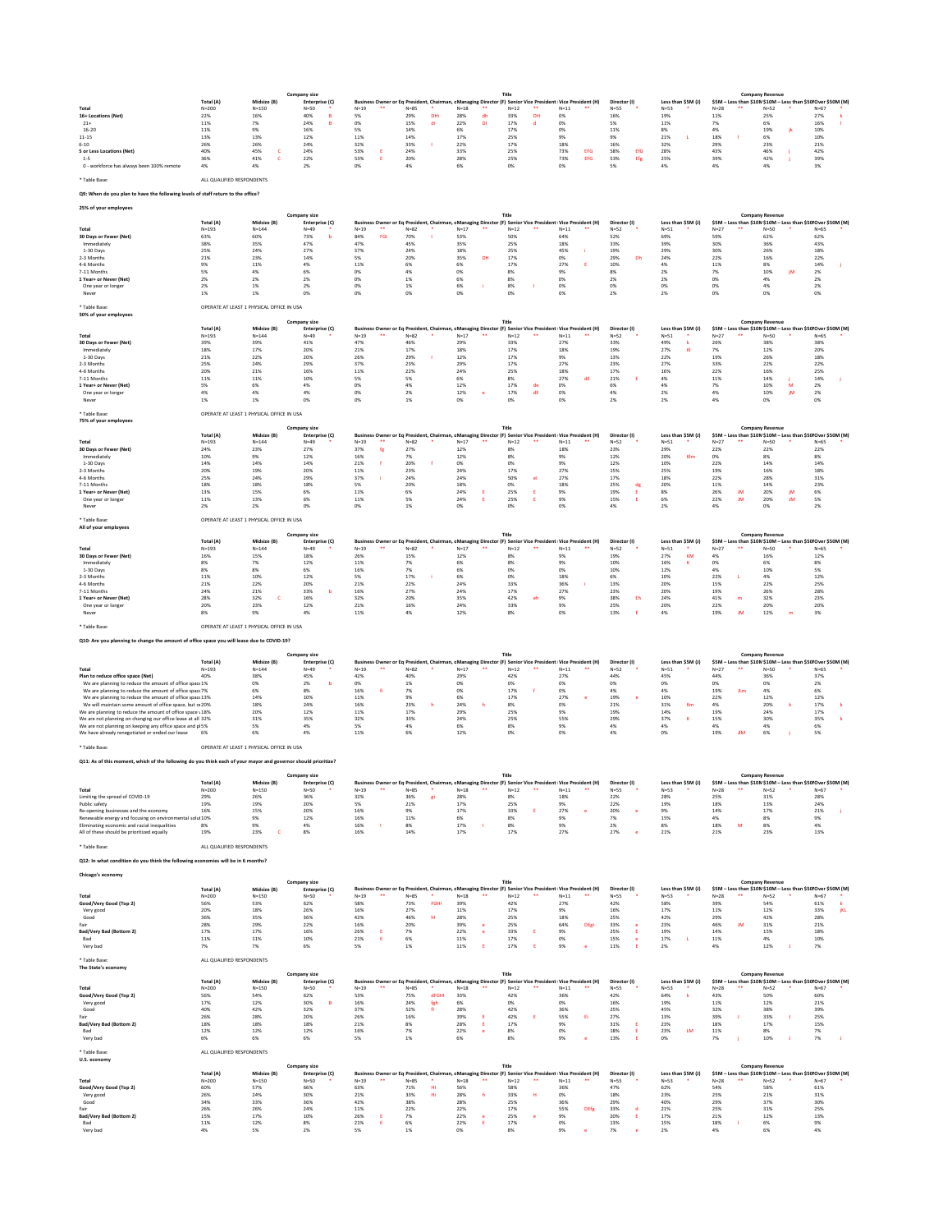\* Table Base: ALL QUALIFIED RESPONDENTS

## **Q9: When do you plan to have the following levels of staff return to the office?**

# **25% of your employees**

\* Table Base: OPERATE AT LEAST 1 PHYSICAL OFFICE IN USA

\* Table Base: OPERATE AT LEAST 1 PHYSICAL OFFICE IN USA

| 30 Days or Fewer (Net) | 24% | 23% | 2/           | 37% | 270/<br>2/70 | 12% |     | 18% | 23% | 29% | 22% | 22% | 22% |
|------------------------|-----|-----|--------------|-----|--------------|-----|-----|-----|-----|-----|-----|-----|-----|
| Immediately            | 10% | 9%  | 1.201<br>12% | 16% | 7%           | 12% |     |     | 12% | 20% | 0%  | 8%  | 8%  |
| 1-30 Days              | 14% | 14% | 14%          | 21% |              | 0%  |     |     | 12% | 10% | 22% | 14% | 14% |
| 2-3 Months             | 20% | 19% | 20%          | 11% | 23%          | 24% |     | 2/% | 15% | 25% | 19% | 16% | 18% |
| 4-6 Months             | 25% | 24% | 29%          | 37% | 24%          | 24% | 50% | 27% | 17% | 18% | 22% | 28% | 31% |
| 7-11 Months            | 18% | 18% | 18%          |     | 20%          | 18% |     | 18% | 25% | 20% | 11% | 14% | 23% |
| 1 Year+ or Never (Net) | 13% | 15% | 6%           | 11% |              | 24% | 25% |     | 19% |     | 26% | 20% | 6%  |
| One year or longer     | 11% | 13% | 6%           | 11% | <b>J</b>     | 24% | 25% | ۵%  | 15% | 6%  | 22% | 20% | 5%  |
| Never                  |     |     |              |     |              |     |     |     |     |     | 4%  |     |     |

\* Table Base: OPERATE AT LEAST 1 PHYSICAL OFFICE IN USA

\* Table Base: OPERATE AT LEAST 1 PHYSICAL OFFICE IN USA

# **Q10: Are you planning to change the amount of office space you will lease due to COVID-19?**

|                                           |           |             | <b>Company size</b> |              |            |           | Title          |                                                                                                              |              |                    |          | <b>Company Revenue</b>                                       |        |
|-------------------------------------------|-----------|-------------|---------------------|--------------|------------|-----------|----------------|--------------------------------------------------------------------------------------------------------------|--------------|--------------------|----------|--------------------------------------------------------------|--------|
|                                           | Total (A) | Midsize (B) | Enterprise (C)      |              |            |           |                | Business Owner or Eq President, Chairman, c Managing Director (F) Senior Vice President   Vice President (H) | Director (I) | Less than \$5M (J) |          | \$5M - Less than \$10M \$10M - Less than \$50 Over \$50M (M) |        |
| <b>Total</b>                              | $N = 200$ | $N = 150$   | $N = 50$            | $N=19$<br>** | $N = 85$   | N=18      | **<br>$N = 12$ | N=11                                                                                                         | $N=55$       | $N=53$             | $N = 28$ | $N=52$                                                       | $N=67$ |
| 16+ Locations (Net)                       | 22%       | 16%         | 40%                 |              | 29%<br>DHi | 28%<br>dh | 33%            | 0%                                                                                                           | 16%          | 19%                | 11%      | 25%                                                          | 27%    |
| $21+$                                     | 11%       |             | 24%                 |              | 15%        | 22%       | 17%            | 0%                                                                                                           | 5%           | 11%                | 7%       |                                                              | 16%    |
| $16 - 20$                                 | 11%       |             | 16%                 |              | 14%        |           | 17%            |                                                                                                              | 11%          | 8%                 |          | 19%                                                          | 10%    |
| 11-15                                     | 13%       | 13%         | 12%                 | 11%          | 14%        | 17%       | 25%            |                                                                                                              | 9%           | 21%                | 18%      |                                                              | 10%    |
| $6 - 10$                                  | 26%       | 26%         | 24%                 | 32%          | 33%        | 22%       | 17%            | 18%                                                                                                          | 16%          |                    | 29%      | 23%                                                          | 21%    |
| 5 or Less Locations (Net)                 | 40%       | 45%         | 24%                 | 53%          | 24%        | 33%       | 25%            | 73%<br>EFG.                                                                                                  | 58%<br>EfG.  | 28%                | 43%      | 46%                                                          | 42%    |
|                                           | 36%       | 41%         | 22%                 | 53%          | 20%        | 28%       | 25%            | <b>EFG</b><br>73%                                                                                            | 53%<br>Efg   | 25%                | 39%      | 42%                                                          | 39%    |
| 0 - workforce has always been 100% remote | 4%        |             |                     |              |            |           |                |                                                                                                              |              |                    |          |                                                              |        |

|                        |           |             | <b>Company size</b> |            |                                                                                                            |                  |                 |              |              |                    |        | <b>Company Revenue</b>                                       |        |
|------------------------|-----------|-------------|---------------------|------------|------------------------------------------------------------------------------------------------------------|------------------|-----------------|--------------|--------------|--------------------|--------|--------------------------------------------------------------|--------|
|                        | Total (A) | Midsize (B) | Enterprise (C)      |            | Business Owner or Eq President, Chairman, c Managing Director (F) Senior Vice President Vice President (H) |                  |                 |              | Director (I) | Less than \$5M (J) |        | \$5M – Less than \$10M \$10M – Less than \$50 Over \$50M (M) |        |
| <b>Total</b>           | $N = 193$ | $N = 144$   | $N=49$              | $N = 19$   | N=82                                                                                                       | $N=17$           | $N=12$<br>- ≭ ≯ | $N=11$<br>∗∗ | $N=52$       | $N=51$             | $N=27$ | $N=50$                                                       | $N=65$ |
| 30 Days or Fewer (Net) | 63%       | 60%         | 73%                 | FGI<br>84% | 70%                                                                                                        | 53%              | 50%             | 64%          | 52%          | 69%                | 59%    | 62%                                                          | 62%    |
| Immediately            | 38%       | 35%         | 47%                 | 47%        | 45%                                                                                                        | 35%              | 25%             | 18%          | 33%          | 39%                | 30%    | 36%                                                          | 43%    |
| $1-30$ Days            | 25%       | 24%         | 27%                 | 37%        | 24%                                                                                                        | 18%              | 25%             | 45%          | 19%          | 29%                | 30%    | 26%                                                          | 18%    |
| 2-3 Months             | 21%       | 23%         | 14%                 |            | 20%                                                                                                        | 35%<br><b>DH</b> | 17%             | 0%           | 29%<br>.)h   | 24%                | 22%    | 16%                                                          | 22%    |
| 4-6 Months             | 9%        | 11%         | 4%                  | 11%        |                                                                                                            | 6%               | 17%             | 27%          | 10%          | 4%                 | 11%    | 8%                                                           | 14%    |
| 7-11 Months            |           |             |                     | 0%         | 4%                                                                                                         | 0%               | 8%              | 9%           |              |                    |        | 10%<br>iM                                                    | 2%     |
| 1 Year+ or Never (Net) | 2%        |             |                     |            | 1%                                                                                                         |                  | 8%              | 0%           |              |                    | 0%     | 4%                                                           |        |
| One year or longer     | 2%        |             |                     |            | 1%                                                                                                         |                  | 8%              | 0%           |              | 0%                 | 0%     | 4%                                                           |        |
| Never                  |           |             |                     |            |                                                                                                            |                  |                 |              |              |                    |        |                                                              |        |

|           |             |                |                                                                   |        |        | <b>Title</b> |           |                                                                                                            |                    |        |           |                                                                                        |
|-----------|-------------|----------------|-------------------------------------------------------------------|--------|--------|--------------|-----------|------------------------------------------------------------------------------------------------------------|--------------------|--------|-----------|----------------------------------------------------------------------------------------|
| Total (A) | Midsize (B) | Enterprise (C) |                                                                   |        |        |              |           | Director (I)                                                                                               | Less than \$5M (J) |        |           |                                                                                        |
| $N = 193$ | $N = 144$   | $N=49$         | $N=19$                                                            | $N=82$ | $N=17$ | $N = 12$     | $N=11$    | $N=52$                                                                                                     | $N=51$             | $N=27$ | $N = 50$  | $N=65$                                                                                 |
| 39%       | 39%         | 41%            | 47%                                                               | 46%    | 29%    | 33%          | 27%       | 33%                                                                                                        | 49%                | 26%    | 38%       | 38%                                                                                    |
| 18%       | 17%         | 20%            | 21%                                                               | 17%    | 18%    | 17%          | 18%       | 19%                                                                                                        | 27%<br>- KI        | 7%     | 12%       | 20%                                                                                    |
| 21%       | 22%         | 20%            | 26%                                                               | 29%    | 12%    | 17%          | 9%        | 13%                                                                                                        | 22%                | 19%    | 26%       | 18%                                                                                    |
| 25%       | 24%         | 29%            | 37%                                                               | 23%    | 29%    | 17%          | 27%       | 23%                                                                                                        | 27%                | 33%    | 22%       | 22%                                                                                    |
| 20%       | 21%         | 16%            | 11%                                                               | 22%    | 24%    | 25%          | 18%       | 17%                                                                                                        | 16%                | 22%    | 16%       | 25%                                                                                    |
| 11%       | 11%         | 10%            | 5%                                                                | 5%     | 6%     | 8%           | 27%<br>dE | 21%                                                                                                        | 4%                 | 11%    | 14%       | 14%                                                                                    |
| 5%        | 6%          | 4%             | 0%                                                                | 4%     | 12%    | 17%<br>de    | 0%        | 6%                                                                                                         | 4%                 | 7%     | 10%<br>M  | 2%                                                                                     |
|           | 4%          | 4%             | 0%                                                                | 2%     | 12%    | 17%<br>dE    | 0%        | 4%                                                                                                         | 2%                 | 4%     | 10%<br>iM | 2%                                                                                     |
| 1%        | 1%          | 0%             | 0%                                                                | 1%     | 0%     | 0%           | 0%        | 2%                                                                                                         | 2%                 | 4%     | 0%        | 0%                                                                                     |
|           |             |                | OPERATE AT LEAST I PHYSICAL OFFICE IN USA.<br><b>Company size</b> |        |        |              |           | Business Owner or Eq President, Chairman, c Managing Director (F) Senior Vice President Vice President (H) |                    |        |           | <b>Company Revenue</b><br>\$5M - Less than \$10M \$10M - Less than \$50 Over \$50M (M) |

\* Table Base: OPERATE AT LEAST 1 PHYSICAL OFFICE IN USA

# **Q11: As of this moment, which of the following do you think each of your mayor and governor should prioritize?**

| 75% of your employees |           |             |                |          |      |                                                                                                              |    |          |    |        |    |              |      |                    |        |                 |                                                               |  |
|-----------------------|-----------|-------------|----------------|----------|------|--------------------------------------------------------------------------------------------------------------|----|----------|----|--------|----|--------------|------|--------------------|--------|-----------------|---------------------------------------------------------------|--|
|                       |           |             | Company size   |          |      |                                                                                                              |    | Title    |    |        |    |              |      |                    |        | Company Revenue |                                                               |  |
|                       | Total (A) | Midsize (B) | Enterprise (C) |          |      | Business Owner or Eq President, Chairman, c Managing Director (F) Senior Vice President   Vice President (H) |    |          |    |        |    | Director (I) |      | Less than \$5M (J) |        |                 | \$5M – Less than \$10M \$10M – Less than \$50  Over \$50M (M) |  |
| <b>Total</b>          | $N = 193$ | $N = 144$   | $N = 49$       | $N = 19$ | N=82 | $N = 17$                                                                                                     | ** | $N = 12$ | ** | $N=11$ | ** | $N=52$       | N=51 |                    | $N-27$ | $N = 50$        | $N=65$                                                        |  |
|                       |           |             |                |          |      |                                                                                                              |    |          |    |        |    |              |      |                    |        |                 |                                                               |  |

| All of your employees  |           |             |                     |               |        |          |                                                                                                           |                |              |                    |          |                                                              |
|------------------------|-----------|-------------|---------------------|---------------|--------|----------|-----------------------------------------------------------------------------------------------------------|----------------|--------------|--------------------|----------|--------------------------------------------------------------|
|                        |           |             | <b>Company size</b> |               |        |          | <b>Title</b>                                                                                              |                |              |                    |          | <b>Company Revenue</b>                                       |
|                        | Total (A) | Midsize (B) | Enterprise (C)      |               |        |          | Business Owner or Eq President, Chairman, cManaging Director (F) Senior Vice President Vice President (H) |                | Director (I) | Less than \$5M (J) |          | \$5M - Less than \$10M \$10M - Less than \$50 Over \$50M (M) |
| <b>Total</b>           | $N = 193$ | $N = 144$   | $N=49$              | $*$<br>$N=19$ | $N=82$ | $N = 17$ | $N=12$                                                                                                    | $*1$<br>$N=11$ | $N=52$       | $N = 51$           | $N=27$   | $N=50$<br>$N=65$                                             |
| 30 Days or Fewer (Net) | 16%       | 15%         | 18%                 | 26%           | 15%    | 12%      | 8%                                                                                                        | 9%             | 19%          | 27%<br><b>KM</b>   | 4%       | 16%<br>12%                                                   |
| Immediately            | 8%        |             | 12%                 | 11%           | 7%     | 6%       | 8%                                                                                                        | 9%             | 10%          | 16%                | 0%       | 6%                                                           |
| 1-30 Days              | 8%        |             | 6%                  | 16%           | 7%     | 6%       | 0%                                                                                                        | 0%             | 10%          | 12%                | 4%       | 10%                                                          |
| 2-3 Months             | 11%       | 10%         | 12%                 | 5%            | 17%    | 6%       | 0%                                                                                                        | 18%            | 6%           | 10%                | 22%      | 4%<br>12%                                                    |
| 4-6 Months             | 21%       | 22%         | 20%                 | 21%           | 22%    | 24%      | 33%                                                                                                       | 36%            | 13%          | 20%                | 15%      | 22%<br>25%                                                   |
| 7-11 Months            | 24%       | 21%         | 33%                 | 16%           | 27%    | 24%      | 17%                                                                                                       | 27%            | 23%          | 20%                | 19%      | 26%<br>28%                                                   |
| 1 Year+ or Never (Net) | 28%       | 32%         | 16%                 | 32%           | 20%    | 35%      | 42%                                                                                                       | 9%             | 38%          | 24%                | 41%<br>m | 32%<br>23%                                                   |
| One year or longer     | 20%       | 23%         | 12%                 | 21%           | 16%    | 24%      | 33%                                                                                                       | 9%             | 25%          | 20%                | 22%      | 20%<br>20%                                                   |
| Never                  |           |             | 4%                  | 11%           | 4%     | 12%      | 8%                                                                                                        | 0%             | 13%          | 4%                 | 19%      | 3%<br>12%                                                    |

\* Table Base: ALL QUALIFIED RESPONDENTS

## **Q12: In what condition do you think the following economies will be in 6 months?**

#### **Chicago's economy**

|                                                             |           | <b>Company size</b> |                |      |    |                                                                                                           |  |        |        |        |              |          |                    |        | <b>Company Revenue</b> |                                                              |  |
|-------------------------------------------------------------|-----------|---------------------|----------------|------|----|-----------------------------------------------------------------------------------------------------------|--|--------|--------|--------|--------------|----------|--------------------|--------|------------------------|--------------------------------------------------------------|--|
|                                                             | Total (A) | Midsize (B)         | Enterprise (C) |      |    | Business Owner or Eq President, Chairman, cManaging Director (F) Senior Vice President Vice President (H) |  |        |        |        | Director (I) |          | Less than \$5M (J) |        |                        | \$5M - Less than \$10M \$10M - Less than \$50 Over \$50M (M) |  |
| <b>Total</b>                                                | $N = 193$ | $N = 144$           | $N=49$         | N=19 | ** | N=82                                                                                                      |  | $N=17$ | $N=12$ | $N=11$ | $N=52$       | $N = 51$ |                    | $N=27$ | $N = 50$               | $N=65$                                                       |  |
| Plan to reduce office space (Net)                           | 40%       | 38%                 | 45%            | 42%  |    | 40%                                                                                                       |  | 29%    | 42%    | 27%    | 44%          | 45%      |                    | 44%    | 36%                    | 37%                                                          |  |
| We are planning to reduce the amount of office space 1%     |           |                     |                | 0%   |    | 1%                                                                                                        |  | U%     | 0%.    | 0%     |              | 0%       |                    |        | 0%                     |                                                              |  |
| We are planning to reduce the amount of office space 7%     |           |                     |                | 16%  |    | 7%/                                                                                                       |  | U%     | 17%    | 0%     |              | 4%       |                    | 19%    | 4%                     |                                                              |  |
| We are planning to reduce the amount of office space 13%    |           | 14%                 | 10%            | 11%  |    |                                                                                                           |  |        | 17%    | 27%    | 19%          | 10%      |                    | 22%    | 12%                    | 12%                                                          |  |
| We will maintain some amount of office space, but or 20%    |           | 18%                 | 24%            | 16%  |    | 23%                                                                                                       |  | 24%    | 8%     | 0%     | 21%          | 31%      | Km.                |        | 20%                    |                                                              |  |
| We are planning to reduce the amount of office space \18%   |           | 20%                 | 12%            | 11%  |    | 17%                                                                                                       |  | 29%    | 25%    | 9%     | 19%          | 14%      |                    | 19%    | 24%                    |                                                              |  |
| We are not planning on changing our office lease at all 32% |           | 31%                 | 35%            | 32%  |    | 33%                                                                                                       |  | 24%    | 25%    | 55%    | 29%          | 37%      |                    | 15%    | 30%                    | 35%                                                          |  |
| We are not planning on keeping any office space and pl5%    |           |                     |                |      |    |                                                                                                           |  |        |        | 9%     |              | 4%       |                    |        |                        |                                                              |  |
| We have already renegotiated or ended our lease             | 6%        |                     |                |      |    |                                                                                                           |  | 12%    |        |        |              |          |                    |        | bУ                     |                                                              |  |

|                                                          |           |             | <b>Company size</b> |                                                                                                            |      |      | <b>Title</b> |                |              |                    |        | <b>Company Revenue</b>                                       |          |
|----------------------------------------------------------|-----------|-------------|---------------------|------------------------------------------------------------------------------------------------------------|------|------|--------------|----------------|--------------|--------------------|--------|--------------------------------------------------------------|----------|
|                                                          | Total (A) | Midsize (B) | Enterprise (C)      | Business Owner or Eq President, Chairman, c Managing Director (F) Senior Vice President Vice President (H) |      |      |              |                | Director (I) | Less than \$5M (J) |        | \$5M – Less than \$10M\$10M – Less than \$50  Over \$50M (M) |          |
| <b>Total</b>                                             | $N = 200$ | $N = 150$   | $N=50$              | **<br>N=19                                                                                                 | ง=ช5 | N=18 | $N=12$<br>** | ∗∗<br>$N = 11$ | $N=55$       | $N=53$             | $N=28$ | $N = 52$                                                     | $N = 67$ |
| Limiting the spread of COVID-19                          | 29%       | 26%         | 36%                 | 32%                                                                                                        | 36%  | 28%  |              | 18%            | 22%          | 28%                | 25%    | 31%                                                          | 28%      |
| Public safety                                            | 19%       | 19%         | 20%                 |                                                                                                            | 21%  | 17%  | 25%          |                | 22%          | 19%                | 18%    | 13%                                                          | 24%      |
| Re-opening businesses and the economy                    | 16%       | 15%         | 20%                 | 16%                                                                                                        | 9%   | 17%  | 33%          |                | 20%          |                    | 14%    | 17%                                                          | 21%      |
| Renewable energy and focusing on environmental solut 10% |           |             | 12%                 | 16%                                                                                                        | 11%  |      | 8%           |                |              | 15%                |        |                                                              |          |
| Eliminating economic and racial inequalities             | 8%        |             |                     | 16%                                                                                                        | 8%   | 17%  | 8%           |                |              |                    | 18%    |                                                              |          |
| All of these should be prioritized equally               | 19%       | 23%         |                     | 16%                                                                                                        | 14%  | 17%  |              | n 70/          | 27%          | 21%                | 21%    |                                                              | 13%      |

| ------g- - --------- <sub>1</sub> |                           |             | <b>Company size</b> |        |       |          |             |        |       | <b>Title</b>                                                                                               |       |        |             |              |            |        |                    |        |           | <b>Company Revenue</b> |                                                              |     |
|-----------------------------------|---------------------------|-------------|---------------------|--------|-------|----------|-------------|--------|-------|------------------------------------------------------------------------------------------------------------|-------|--------|-------------|--------------|------------|--------|--------------------|--------|-----------|------------------------|--------------------------------------------------------------|-----|
|                                   | Total (A)                 | Midsize (B) | Enterprise (C)      |        |       |          |             |        |       | Business Owner or Eq President, Chairman, c Managing Director (F) Senior Vice President Vice President (H) |       |        |             | Director (I) |            |        | Less than \$5M (J) |        |           |                        | \$5M - Less than \$10M \$10M - Less than \$50 Over \$50M (M) |     |
| <b>Total</b>                      | $N = 200$                 | $N = 150$   | $N=50$              | $N=19$ | $**$  | $N=85$   |             | $N=18$ | $**$  | $N = 12$                                                                                                   | **    | $N=11$ | $***$       | $N=55$       | $\ast$     | $N=53$ |                    | $N=28$ | $**$      | $N=52$                 | $N=67$                                                       |     |
| Good/Very Good (Top 2)            | 56%                       | 53%         | 62%                 | 58%    |       | 73%      | <b>FGHI</b> | 39%    |       | 42%                                                                                                        |       | 27%    |             | 42%          |            | 58%    |                    | 39%    |           | 54%                    | 61%                                                          |     |
| Very good                         | 20%                       | 18%         | 26%                 | 16%    |       | 27%      |             | 11%    |       | 17%                                                                                                        |       | 9%     |             | 16%          |            | 17%    |                    | 11%    |           | 12%                    | 33%                                                          | jKL |
| Good                              | 36%                       | 35%         | 36%                 | 42%    |       | 46%      | hL          | 28%    |       | 25%                                                                                                        |       | 18%    |             | 25%          |            | 42%    |                    | 29%    |           | 42%                    | 28%                                                          |     |
| Fair                              | 28%                       | 29%         | 22%                 | 16%    |       | 20%      |             | 39%    | e     | 25%                                                                                                        |       | 64%    | <b>DEgi</b> | 33%          |            | 23%    |                    | 46%    | <b>JM</b> | 31%                    | 21%                                                          |     |
| <b>Bad/Very Bad (Bottom 2)</b>    | 17%                       | 17%         | 16%                 | 26%    |       | 7%       |             | 22%    | -e    | 33%                                                                                                        |       | 9%     |             | 25%          |            | 19%    |                    | 14%    |           | 15%                    | 18%                                                          |     |
| Bad                               | 11%                       | 11%         | 10%                 | 21%    |       | 6%       |             | 11%    |       | 17%                                                                                                        |       | 0%     |             | 15%          |            | 17%    |                    | 11%    |           | 4%                     | 10%                                                          |     |
| Very bad                          | 7%                        | 7%          | 6%                  | 5%     |       | 1%       |             | 11%    |       | 17%                                                                                                        |       | 9%     | e           | 11%          |            | 2%     |                    | 4%     |           | 12%                    | 7%                                                           |     |
| * Table Base:                     | ALL QUALIFIED RESPONDENTS |             |                     |        |       |          |             |        |       |                                                                                                            |       |        |             |              |            |        |                    |        |           |                        |                                                              |     |
| The State's economy               |                           |             |                     |        |       |          |             |        |       |                                                                                                            |       |        |             |              |            |        |                    |        |           |                        |                                                              |     |
|                                   |                           |             | <b>Company size</b> |        |       |          |             |        |       | <b>Title</b>                                                                                               |       |        |             |              |            |        |                    |        |           | <b>Company Revenue</b> |                                                              |     |
|                                   | Total (A)                 | Midsize (B) | Enterprise (C)      |        |       |          |             |        |       | Business Owner or Eq President, Chairman, c Managing Director (F) Senior Vice President Vice President (H) |       |        |             | Director (I) |            |        | Less than \$5M (J) |        |           |                        | \$5M - Less than \$10M \$10M - Less than \$50 Over \$50M (M) |     |
| <b>Total</b>                      | $N = 200$                 | $N = 150$   | $N=50$              | $N=19$ | $***$ | $N=85$   |             | $N=18$ | $***$ | $N=12$                                                                                                     | $***$ | $N=11$ | **          | $N=55$       | $\ast$     | $N=53$ |                    | $N=28$ | $***$     | $N=52$                 | $N=67$                                                       |     |
| Good/Very Good (Top 2)            | 56%                       | 54%         | 62%                 | 53%    |       | 75%      | dFGH        | 33%    |       | 42%                                                                                                        |       | 36%    |             | 42%          |            | 64%    |                    | 43%    |           | 50%                    | 60%                                                          |     |
| Very good                         | 17%                       | 12%         | 30%<br>-R           | 16%    |       | 24%      | fgh         | 6%     |       | 0%                                                                                                         |       | 0%     |             | 16%          |            | 19%    |                    | 11%    |           | 12%                    | 21%                                                          |     |
| Good                              | 40%                       | 42%         | 32%                 | 37%    |       | 52%      |             | 28%    |       | 42%                                                                                                        |       | 36%    |             | 25%          |            | 45%    |                    | 32%    |           | 38%                    | 39%                                                          |     |
| Fair                              | 26%                       | 28%         | 20%                 | 26%    |       | 16%      |             | 39%    | -E    | 42%                                                                                                        |       | 55%    | -Ei         | 27%          |            | 13%    |                    | 39%    |           | 33%                    | 25%                                                          |     |
| <b>Bad/Very Bad (Bottom 2)</b>    | 18%                       | 18%         | 18%                 | 21%    |       | 8%       |             | 28%    | -E    | 17%                                                                                                        |       | 9%     |             | 31%          |            | 23%    |                    | 18%    |           | 17%                    | 15%                                                          |     |
| Bad                               | 12%                       | 12%         | 12%                 | 16%    |       | 7%       |             | 22%    | e     | 8%                                                                                                         |       | 0%     |             | 18%          |            | 23%    | <b>LM</b>          | 11%    |           | 8%                     | 7%                                                           |     |
| Very bad                          | 6%                        | 6%          | 6%                  | 5%     |       | 1%       |             | 6%     |       | 8%                                                                                                         |       | 9%     |             | 13%          |            | 0%     |                    | 7%     |           | 10%                    | 7%                                                           |     |
| * Table Base:                     | ALL QUALIFIED RESPONDENTS |             |                     |        |       |          |             |        |       |                                                                                                            |       |        |             |              |            |        |                    |        |           |                        |                                                              |     |
| U.S. economy                      |                           |             |                     |        |       |          |             |        |       |                                                                                                            |       |        |             |              |            |        |                    |        |           |                        |                                                              |     |
|                                   |                           |             | <b>Company size</b> |        |       |          |             |        |       | <b>Title</b>                                                                                               |       |        |             |              |            |        |                    |        |           | <b>Company Revenue</b> |                                                              |     |
|                                   | Total (A)                 | Midsize (B) | Enterprise (C)      |        | $**$  |          |             |        | $***$ | Business Owner or Eq President, Chairman, c Managing Director (F) Senior Vice President Vice President (H) | $***$ |        | **          | Director (I) |            |        | Less than \$5M (J) |        | $***$     |                        | \$5M - Less than \$10M \$10M - Less than \$50 Over \$50M (M) |     |
| <b>Total</b>                      | $N = 200$                 | $N = 150$   | $N=50$              | $N=19$ |       | $N = 85$ |             | $N=18$ |       | $N = 12$                                                                                                   |       | $N=11$ |             | $N=55$       |            | $N=53$ |                    | $N=28$ |           | $N=52$                 | $N = 67$                                                     |     |
| Good/Very Good (Top 2)            | 60%                       | 57%         | 66%                 | 63%    |       | 71%      | HI          | 56%    |       | 58%                                                                                                        |       | 36%    |             | 47%          |            | 62%    |                    | 54%    |           | 58%                    | 61%                                                          |     |
| Very good                         | 26%                       | 24%         | 30%                 | 21%    |       | 33%      | Hi          | 28%    | -h    | 33%                                                                                                        |       | 0%     |             | 18%          |            | 23%    |                    | 25%    |           | 21%                    | 31%                                                          |     |
| Good                              | 34%                       | 33%         | 36%                 | 42%    |       | 38%      |             | 28%    |       | 25%                                                                                                        |       | 36%    |             | 29%          |            | 40%    |                    | 29%    |           | 37%                    | 30%                                                          |     |
| Fair                              | 26%                       | 26%         | 24%                 | 11%    |       | 22%      |             | 22%    |       | 17%                                                                                                        |       | 55%    | <b>DEfg</b> | 33%          | d          | 21%    |                    | 25%    |           | 31%                    | 25%                                                          |     |
| <b>Bad/Very Bad (Bottom 2)</b>    | 15%                       | 17%         | 10%                 | 26%    |       | 7%       |             | 22%    | e     | 25%                                                                                                        | e e   | 9%     |             | 20%          |            | 17%    |                    | 21%    |           | 12%                    | 13%                                                          |     |
| Bad                               | 11%                       | 12%         | 8%                  | 21%    |       | 6%       |             | 22%    |       | 17%                                                                                                        |       | 0%     |             | 13%          |            | 15%    |                    | 18%    |           | 6%                     | 9%                                                           |     |
| Very bad                          | 4%                        | 5%          | 2%                  | 5%     |       | 1%       |             | 0%     |       | 8%                                                                                                         |       | 9%     |             | 7%           | $\epsilon$ | 2%     |                    | 4%     |           | 6%                     | 4%                                                           |     |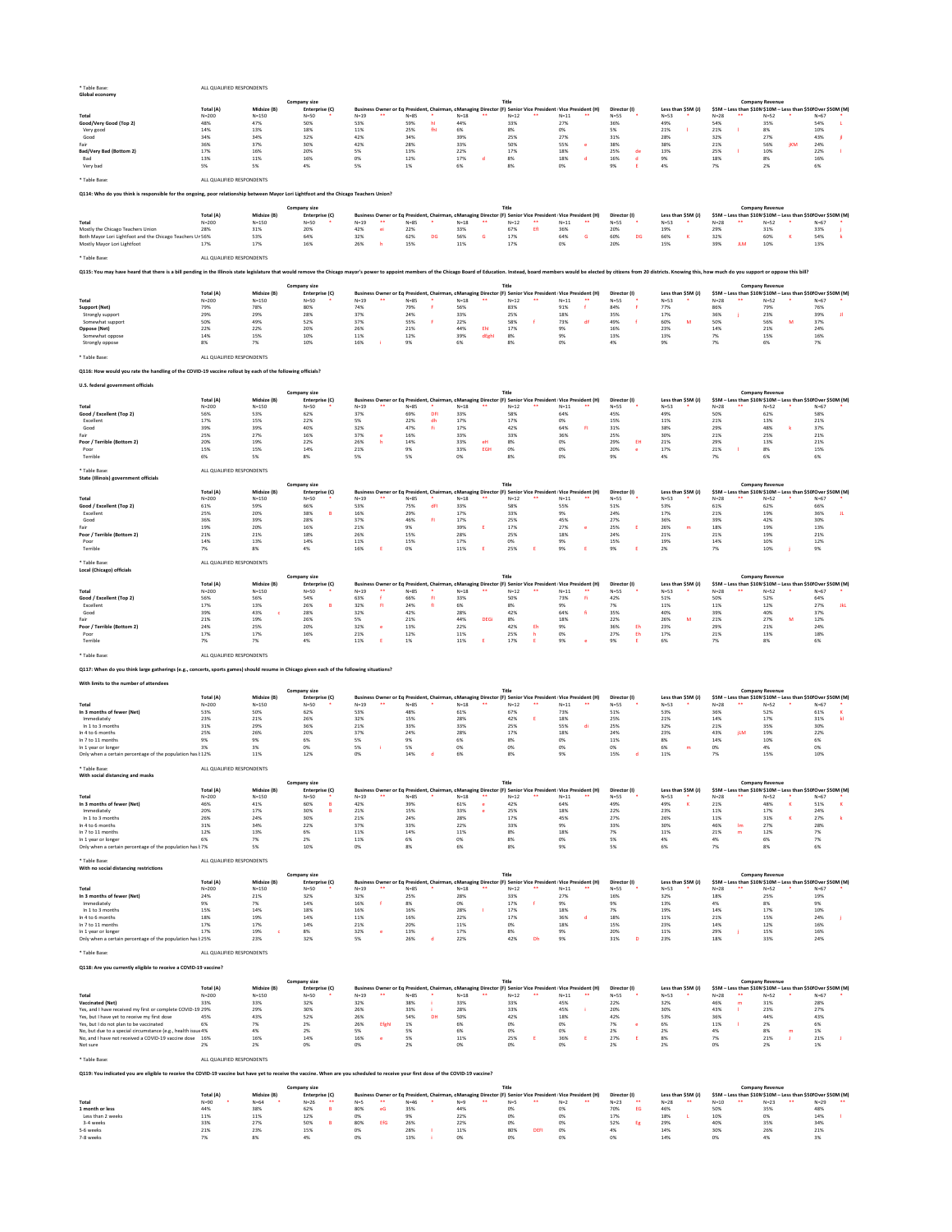|  | Global economy |
|--|----------------|
|--|----------------|

\* Table Base: ALL QUALIFIED RESPONDENTS

## **Q114: Who do you think is responsible for the ongoing, poor relationship between Mayor Lori Lightfoot and the Chicago Teachers Union?**

\* Table Base: ALL QUALIFIED RESPONDENTS

### Q115: You may have heard that there is a bill pending in the Illinois state legislature that would remove the Chicago mayor's power to appoint members of the Chicago Board of Education. Instead, board members would be elec

\* Table Base: ALL QUALIFIED RESPONDENTS

## **Q116: How would you rate the handling of the COVID-19 vaccine rollout by each of the following officials?**

### **U.S. federal government officials**

\* Table Base: ALL QUALIFIED RESPONDENTS

### \* Table Base: ALL QUALIFIED RESPONDENTS

|                                |           |             | Company size   |          |      |      | Title                                                                                                     |          |              |        |                    |        | <b>Company Revenue</b>                                       |     |        |  |
|--------------------------------|-----------|-------------|----------------|----------|------|------|-----------------------------------------------------------------------------------------------------------|----------|--------------|--------|--------------------|--------|--------------------------------------------------------------|-----|--------|--|
|                                | Total (A) | Midsize (B) | Enterprise (C) |          |      |      | Business Owner or Eq President, Chairman, cManaging Director (F) Senior Vice President Vice President (H) |          | Director (I) |        | Less than $$5M(J)$ |        | \$5M - Less than \$10M \$10M - Less than \$50 Over \$50M (M) |     |        |  |
| <b>Total</b>                   | $N = 200$ | $N = 150$   | N=50           | $N = 19$ | N=85 | N=18 | $N=12$                                                                                                    | $N = 11$ | $N = 55$     | $N=53$ |                    | $N=28$ | $N=52$                                                       |     | $N=67$ |  |
| Good/Very Good (Top 2)         | 48%       | 47%         | 50%            | 53%      | 59%  | 44%  | 33%                                                                                                       | 27%      | 36%          | 49%    |                    | 54%    | 35%                                                          |     | 54%    |  |
| Very good                      | 14%       | 13%         | 18%            | 11%      | 25%  | 6%   |                                                                                                           |          |              | 21%    |                    | 21%    | 8%                                                           |     | 10%    |  |
| Good                           | 34%       | 34%         | 32%            | 42%      | 34%  | 39%  | 25%                                                                                                       | 27%      | 31%          | 28%    |                    | 32%    | 27%                                                          |     | 43%    |  |
| Fair                           | 36%       | 37%         | 30%            | 42%      | 28%  | 33%  | 50%                                                                                                       | 55%      | 38%          | 38%    |                    | 21%    | 56%                                                          | іКМ | 24%    |  |
| <b>Bad/Very Bad (Bottom 2)</b> | 17%       | 16%         | 20%            | 5%       | 13%  | 22%  | 17%                                                                                                       | 18%      | 25%          | 13%    |                    | 25%    | 10%                                                          |     | 22%    |  |
| Bad                            | 13%       | 11%         | 16%            | 0%       | 12%  | 17%  |                                                                                                           | 18%      | 16%          |        |                    | 18%    | 8%                                                           |     | 16%    |  |
| Very bad                       |           | 5%          |                | 5%       |      | 6%   |                                                                                                           |          |              |        |                    | 7%     | 2%                                                           |     |        |  |

\* Table Base: ALL QUALIFIED RESPONDENTS

## **Q117: When do you think large gatherings (e.g., concerts, sports games) should resume in Chicago given each of the following situations?**

#### **With limits to the number of attendees**

|                                                           |           |              | <b>Company size</b> |        |    |          |      |    | <b>Title</b>                                                                                              |    |        |       |              |        |                     |                    | <b>Company Revenue</b> |                                                              |  |
|-----------------------------------------------------------|-----------|--------------|---------------------|--------|----|----------|------|----|-----------------------------------------------------------------------------------------------------------|----|--------|-------|--------------|--------|---------------------|--------------------|------------------------|--------------------------------------------------------------|--|
|                                                           | Total (A) | Midsize (B)  | Enterprise (C)      |        |    |          |      |    | Business Owner or Eq President, Chairman, cManaging Director (F) Senior Vice President Vice President (H) |    |        |       | Director (I) |        | Less than $$5M$ (J) |                    |                        | \$5M – Less than \$10M \$10M – Less than \$50 Over \$50M (M) |  |
| <b>Total</b>                                              | $N = 200$ | $N = 150$    | $N=50$              | $N=19$ | ** | $N = 85$ | N=18 | ** | $N = 12$                                                                                                  | ** | $N=11$ | $***$ | $N=55$       | $N=53$ |                     | N=28               | $N=52$                 | $N=67$                                                       |  |
| Mostly the Chicago Teachers Union                         | 28%       | 31%          | 20%                 | 42%    |    | 22%      | 33%  |    | 67%                                                                                                       |    | 36%    |       | 20%          |        |                     | ∕ח∩ר<br><b>29%</b> | 31%                    | 33%                                                          |  |
| Both Mayor Lori Lightfoot and the Chicago Teachers Ur 56% |           | 53%          | 64%                 |        |    | 62%      |      |    | 17%                                                                                                       |    | 64%    |       | 60%          |        |                     | 32%                |                        | 54%                                                          |  |
| Mostly Mayor Lori Lightfoot                               |           | 170/<br>1/70 | 16%                 |        |    | 15%      | 11%  |    | 17%                                                                                                       |    |        |       | 20%          |        |                     |                    |                        | 13%                                                          |  |

|                      |           |             | <b>Company size</b> |              |                                                                                                              |        |       |          |    |        |    |              |        |                    |        |    | <b>Company Revenue</b>                                       |        |  |
|----------------------|-----------|-------------|---------------------|--------------|--------------------------------------------------------------------------------------------------------------|--------|-------|----------|----|--------|----|--------------|--------|--------------------|--------|----|--------------------------------------------------------------|--------|--|
|                      | Total (A) | Midsize (B) | Enterprise (C)      |              | Business Owner or Eq President, Chairman, c Managing Director (F) Senior Vice President   Vice President (H) |        |       |          |    |        |    | Director (I) |        | Less than \$5M (J, |        |    | \$5M - Less than \$10M \$10M - Less than \$50 Over \$50M (M) |        |  |
| <b>Total</b>         | $N = 200$ | $N = 150$   | $N=50$              | $N=19$<br>** | ง=85                                                                                                         | $N=18$ | **    | $N = 12$ | ** | $N=11$ | ** | N=55         | $N=53$ |                    | $N=28$ | ∗∗ | $N=52$                                                       | $N=67$ |  |
| <b>Support (Net)</b> | 79%       | 78%         | 80%                 | 74%          | 79%                                                                                                          | 56%    |       | 83%      |    | 91%    |    | 84%          | 77%    |                    | 86%    |    | 79%                                                          | 76%    |  |
| Strongly support     | 29%       | 29%         | 28%                 | 37%          | 24%                                                                                                          | 33%    |       | 25%      |    | 18%    |    | 35%          | 17%    |                    | 36%    |    | 23%                                                          | 39%    |  |
| Somewhat support     | 50%       | 49%         | 52%                 | 37%          | 55%                                                                                                          | 22%    |       | 58%      |    | 73%    |    | 49%          | 60%    |                    | 50%    |    | 56%                                                          | 37%    |  |
| <b>Oppose (Net)</b>  | 22%       | 22%         | 20%                 | 26%          | 21%                                                                                                          | 44%    |       | 17%      |    |        |    | 16%          | 23%    |                    | 14%    |    | 21%                                                          | 24%    |  |
| Somewhat oppose      | 14%       | 15%         | 10%                 | 11%          | 12%                                                                                                          | 39%    | dEgh' | 8%       |    |        |    | 13%          | 13%    |                    | 70/    |    | 15%                                                          | 16%    |  |
| Strongly oppose      | 8%        |             | 10%                 | 16%          |                                                                                                              |        |       |          |    |        |    |              |        |                    |        |    |                                                              |        |  |

### \* Table Base: ALL QUALIFIED RESPONDENTS

|                            |           |             | <b>Company size</b> |        |    |          |        |     |                                                                                                           |          |              |                     |          | <b>Company Revenue</b> |                                                             |  |
|----------------------------|-----------|-------------|---------------------|--------|----|----------|--------|-----|-----------------------------------------------------------------------------------------------------------|----------|--------------|---------------------|----------|------------------------|-------------------------------------------------------------|--|
|                            | Total (A) | Midsize (B) | Enterprise (C)      |        |    |          |        |     | Business Owner or Eq President, Chairman, cManaging Director (F) Senior Vice President Vice President (H) |          | Director (I) | Less than $$5M$ (J) |          |                        | \$5M – Less than \$10M\$10M – Less than \$50 Over \$50M (M) |  |
| <b>Total</b>               | $N = 200$ | $N = 150$   | $N=50$              | $N=19$ | ∗∗ | $N = 85$ | $N=18$ |     | N=12                                                                                                      | $N = 11$ | $N = 55$     | $N = 53$            | $N = 28$ | $N=52$                 | $N=67$                                                      |  |
| Good / Excellent (Top 2)   | 56%       | 53%         | 62%                 | 37%    |    | 69%      | 33%    |     | 58%                                                                                                       | 64%      | 45%          |                     | 50%      | 62%                    | 58%                                                         |  |
| Excellent                  | 17%       | 15%         | 22%                 |        |    | 22%      |        |     | 17%                                                                                                       |          | 15%          | 11%                 | 21%      | 13%                    | 21%                                                         |  |
| Good                       | 39%       | 39%         | 40%                 | 32%    |    | 47%      |        |     | 42%                                                                                                       | 64%      | 31%          | 38%                 | 29%      | 48%                    | 37%                                                         |  |
| Fair                       | 25%       | 27%         | 16%                 | 37%    |    | 16%      | 33%    |     | 33%                                                                                                       | 36%      | 25%          | 30%                 | 21%      | 25%                    | 21%                                                         |  |
| Poor / Terrible (Bottom 2) | 20%       | 19%         | 22%                 | 26%    |    | 14%      | 33%    |     | 8%                                                                                                        |          | 29%          | 417                 | 29%      | 13%                    | 21%                                                         |  |
| Poor                       | 15%       | 15%         | 14%                 | 21%    |    |          | 33%    | EGH |                                                                                                           |          | 20%          | 17%                 | 21%      | 8%                     | 15%                                                         |  |
| Terrible                   |           |             |                     |        |    |          |        |     |                                                                                                           |          |              |                     |          |                        |                                                             |  |

|                            |           |             | <b>Company size</b> |                                                                                                             |      |          |                |          |    |              |        |                    |        | <b>Company Revenue</b>                                      |        |  |
|----------------------------|-----------|-------------|---------------------|-------------------------------------------------------------------------------------------------------------|------|----------|----------------|----------|----|--------------|--------|--------------------|--------|-------------------------------------------------------------|--------|--|
|                            | Total (A) | Midsize (B) | Enterprise (C)      | Business Owner or Eq President, Chairman, cManaging Director (F) Senior Vice President   Vice President (H) |      |          |                |          |    | Director (I) |        | Less than \$5M (J) |        | \$5M – Less than \$10M\$10M – Less than \$50 Over \$50M (M) |        |  |
| <b>Total</b>               | $N = 200$ | $N = 150$   | N=50                | $N=19$<br>**                                                                                                | 85=٧ | $N = 18$ | **<br>$N = 12$ | $N = 11$ | ** | $N=55$       | $N=53$ |                    | $N=28$ | $N=52$                                                      | $N=67$ |  |
| Good / Excellent (Top 2)   | 61%       | 59%         | 66%                 | 53%                                                                                                         | 75%  | 33%      | 58%            | 55%      |    | 51%          | 53%    |                    | 61%    | 62%                                                         | 66%    |  |
| Excellent                  | 25%       | 20%         | 38%                 | 16%                                                                                                         | 29%  | 17%      | 33%            |          |    | 24%          | 17%    |                    | 21%    | 19%                                                         | 36%    |  |
| Good                       | 36%       | 39%         | 28%                 | 37%                                                                                                         | 46%  | 17%      | 25%            | 45%      |    | 27%          | 36%    |                    | 39%    | 42%                                                         | 30%    |  |
| Fair                       | 19%       | 20%         | 16%                 | 21%                                                                                                         | 9%   | 39%      | 17%            | 27%      |    | 25%          | 20%    |                    | 18%    | 19%                                                         | 13%    |  |
| Poor / Terrible (Bottom 2) | 21%       | 21%         | 18%                 | 26%                                                                                                         | 15%  | 28%      | 25%            | 18%      |    | 24%          | 21%    |                    | 21%    | 19%                                                         | 21%    |  |
| Poor                       | 14%       | 13%         | 14%                 | 11%                                                                                                         | 15%  | 17%      |                |          |    | 15%          | 19%    |                    | 14%    | 10%                                                         |        |  |
| Terrible                   |           |             |                     |                                                                                                             |      | 11%      |                |          |    |              |        |                    |        | 10%                                                         |        |  |

| Local (Chicago) officials  |           |             |                |        |    |          |                                                                                                           |             |      |     |        |    |              |     |        |                    |          |    |                        |                                                              |     |
|----------------------------|-----------|-------------|----------------|--------|----|----------|-----------------------------------------------------------------------------------------------------------|-------------|------|-----|--------|----|--------------|-----|--------|--------------------|----------|----|------------------------|--------------------------------------------------------------|-----|
|                            |           |             | Company size   |        |    |          |                                                                                                           |             |      |     |        |    |              |     |        |                    |          |    | <b>Company Revenue</b> |                                                              |     |
|                            | Total (A) | Midsize (B) | Enterprise (C) |        |    |          | Business Owner or Eq President, Chairman, cManaging Director (F) Senior Vice President Vice President (H) |             |      |     |        |    | Director (I) |     |        | Less than \$5M (J) |          |    |                        | \$5M - Less than \$10M \$10M - Less than \$50 Over \$50M (M) |     |
| Total                      | $N = 200$ | $N = 150$   | $N=50$         | $N=19$ | ** | $N = 85$ | $N = 18$                                                                                                  | **          | N=12 | **  | $N=11$ | ** | $N=55$       |     | $N=53$ |                    | $N = 28$ | ∗∗ | $N=52$                 | $N=67$                                                       |     |
| Good / Excellent (Top 2)   | 56%       | 56%         | 54%            | 63%    |    | 66%      | 33%                                                                                                       |             | 50%  |     | 73%    |    | 42%          |     | 51%    |                    | 50%      |    | 52%                    | 64%                                                          |     |
| Excellent                  | 17%       | 13%         | 26%            | 32%    |    | 24%      | 6%                                                                                                        |             | 8%   |     | 9%     |    |              |     | 11%    |                    | 11%      |    | 12%                    | 27%                                                          | JkL |
| Good                       | 39%       | 43%         | 28%            | 32%    |    | 42%      | 28%                                                                                                       |             | 42%  |     | 64%    |    | 35%          |     | 40%    |                    | 39%      |    | 40%                    | 37%                                                          |     |
| Fair                       | 21%       | 19%         | 26%            | 5%     |    | 21%      | 44%                                                                                                       | <b>DEGi</b> | 8%   |     | 18%    |    | 22%          |     | 26%    |                    | 21%      |    | 27%                    | 12%                                                          |     |
| Poor / Terrible (Bottom 2) | 24%       | 25%         | 20%            | 32%    |    | 13%      | 22%                                                                                                       |             | 42%  | Eh. | 9%     |    | 36%          | -Eh | 23%    |                    | 29%      |    | 21%                    | 24%                                                          |     |
| Poor                       | 17%       | 17%         | 16%            | 21%    |    | 12%      | 11%                                                                                                       |             | 25%  |     |        |    | 27%          |     | 17%    |                    | 21%      |    | 13%                    | 18%                                                          |     |
| Terrible                   | 7%        | 7%          | 4%             | 11%    |    | 1%       | 11%                                                                                                       |             | 17%  |     | 9%     |    |              |     | 6%     |                    | 7%       |    | 8%                     |                                                              |     |
|                            |           |             |                |        |    |          |                                                                                                           |             |      |     |        |    |              |     |        |                    |          |    |                        |                                                              |     |

| In 3 months of fewer (Net)                                 | 24% | 21% | 32% | 220<br>32% | <b>25%</b>        | 28%         | 220<br>33%   | $\sim$ $\sim$ $\prime$<br>2/70 | 16%            | 220<br>32% | 0 <sup>0</sup><br>18% |      | ᆂᄀᄾ  |
|------------------------------------------------------------|-----|-----|-----|------------|-------------------|-------------|--------------|--------------------------------|----------------|------------|-----------------------|------|------|
| Immediately                                                |     |     | 14% | 16%        |                   |             | 17%          |                                | 0 <sup>0</sup> | 13%        | 4%                    |      |      |
| In 1 to 3 months                                           | 15% | 14% | 18% | 16%        | 16%               | 28%         | 17%          | 18%                            |                |            | 14%                   |      | 10%  |
| In 4 to 6 months                                           | 18% | 19% | 14% | 11%        | 16%               | 2270        | 17%          | 36%                            | 18%            | 11%        | 21%                   | TO X | 24%  |
| In 7 to 11 months                                          | 17% | 17% | 14% | 21%        | 20%               | T T N       | $\sim$<br>U% | 18%                            | 15%            | 23%        | 14%                   |      | 16%  |
| In 1 year or longer                                        | 17% | 19% |     | 32%        | 13%               | 1/70        | 8%           |                                | 200<br>ZU70    | 11%        | ∕ ∩ ∩י<br><b>29%</b>  | TO X | 16%  |
| Only when a certain percentage of the population has k 25% |     | 23% | 32% |            | $\sim$ 0.1<br>ZD% | <b>2270</b> | 42%          |                                | 31%            | 23%        | 18%                   |      | Z470 |

|                                                           |           |             | <b>Company size</b> |              |          |        | Title                                                                                                      |          |              |                    |             | <b>Company Revenue</b>                                       |          |
|-----------------------------------------------------------|-----------|-------------|---------------------|--------------|----------|--------|------------------------------------------------------------------------------------------------------------|----------|--------------|--------------------|-------------|--------------------------------------------------------------|----------|
|                                                           | Total (A) | Midsize (B) | Enterprise (C)      |              |          |        | Business Owner or Eq President, Chairman, c Managing Director (F) Senior Vice President Vice President (H) |          | Director (I) | Less than \$5M (J) |             | \$5M - Less than \$10M \$10M - Less than \$50 Over \$50M (M) |          |
| <b>Total</b>                                              | $N = 200$ | $N = 150$   | $N=50$              | $N=19$<br>** | $N = 85$ | $N=18$ | $N=12$<br>⋇⋇                                                                                               | $N = 11$ | $N = 55$     | $N=53$             | $N=28$      | $N=52$                                                       | $N = 67$ |
| In 3 months of fewer (Net)                                | 53%       | 50%         | 62%                 | 53%          | 48%      | 61%    | 67%                                                                                                        | 73%      | 51%          | 53%                | 36%         | 52%                                                          | 61%      |
| Immediately                                               | 23%       | 21%         | 26%                 | 32%          | 15%      | 28%    | 42%                                                                                                        | 18%      | 25%          | 21%                | 14%         | 17%                                                          | 31%      |
| In 1 to 3 months                                          | 31%       | 29%         | 36%                 | 21%          | 33%      | 33%    | 25%                                                                                                        | 55%      | 25%          | 32%                | 21%         | 35%                                                          | 30%      |
| In 4 to 6 months                                          | 25%       | 26%         | 20%                 | 37%          | 24%      | 28%    | 17%                                                                                                        | 18%      | 24%          | 23%                | 43%<br>il M | 19%                                                          | 22%      |
| In 7 to 11 months                                         | 9%        |             |                     |              |          |        |                                                                                                            | 0%       | 11%          |                    | 14%         |                                                              |          |
| In 1 year or longer                                       |           |             |                     |              |          |        |                                                                                                            |          |              |                    | 0%          |                                                              |          |
| Only when a certain percentage of the population has k12% |           | 11%         | 12%                 |              |          |        |                                                                                                            |          | 15%          |                    |             |                                                              | 10%      |

\* Table Base: ALL QUALIFIED RESPONDENTS

**Q118: Are you currently eligible to receive a COVID-19 vaccine?**

| . <del>.</del>                                           |           |             |                     |        |    |        |                                                                                                            |    |              |        |    |              |          |                    |        |                        |                                                              |  |
|----------------------------------------------------------|-----------|-------------|---------------------|--------|----|--------|------------------------------------------------------------------------------------------------------------|----|--------------|--------|----|--------------|----------|--------------------|--------|------------------------|--------------------------------------------------------------|--|
| With social distancing and masks                         |           |             |                     |        |    |        |                                                                                                            |    |              |        |    |              |          |                    |        |                        |                                                              |  |
|                                                          |           |             | <b>Company size</b> |        |    |        |                                                                                                            |    | <b>Title</b> |        |    |              |          |                    |        | <b>Company Revenue</b> |                                                              |  |
|                                                          | Total (A) | Midsize (B) | Enterprise (C)      |        |    |        | Business Owner or Eq President, Chairman, c Managing Director (F) Senior Vice President Vice President (H) |    |              |        |    | Director (I) |          | Less than \$5M (J) |        |                        | \$5M - Less than \$10M \$10M - Less than \$50 Over \$50M (M) |  |
| <b>Total</b>                                             | $N = 200$ | $N = 150$   | $N=50$              | $N=19$ | ** | $N=85$ | $N=18$                                                                                                     | ** | $N=12$       | $N=11$ | ** | $N=55$       | $N = 53$ |                    | $N=28$ | $N=52$                 | $N=67$                                                       |  |
| In 3 months of fewer (Net)                               | 46%       | 41%         | 60%                 | 42%    |    | 39%    | 61%                                                                                                        |    | 42%          | 64%    |    | 49%          | 49%      |                    | 21%    | 48%                    | 51%                                                          |  |
| Immediately                                              | 20%       | 17%         | 30%                 | 21%    |    | 15%    | 33%                                                                                                        |    | 25%          | 18%    |    | 22%          | 23%      |                    | 11%    | 17%                    | 24%                                                          |  |
| In 1 to 3 months                                         | 26%       | 24%         | 30%                 | 21%    |    | 24%    | 28%                                                                                                        |    | 17%          | 45%    |    | 27%          | 26%      |                    | 11%    | 31%                    | 27%                                                          |  |
| In 4 to 6 months                                         | 31%       | 34%         | 22%                 | 37%    |    | 33%    | 22%                                                                                                        |    | 33%          | 9%     |    | 33%          | 30%      |                    | 46%    | 27%                    | 28%                                                          |  |
| In 7 to 11 months                                        | 12%       | 13%         |                     | 11%    |    | 14%    | 11%                                                                                                        |    | 8%           | 18%    |    | 7%           | 11%      |                    | 21%    | 12%                    |                                                              |  |
| In 1 year or longer                                      |           | 7%          |                     | 11%    |    |        | 0%                                                                                                         |    | 8%           | 0%     |    |              | 4%       |                    | 4%     | 6%                     |                                                              |  |
| Only when a certain percentage of the population has k7% |           | 5%          | 10%                 | 0%     |    |        |                                                                                                            |    | 8%           | 9%     |    |              |          |                    |        | 8%                     |                                                              |  |
|                                                          |           |             |                     |        |    |        |                                                                                                            |    |              |        |    |              |          |                    |        |                        |                                                              |  |

| * Table Base:                          | ALL QUALIFIED RESPONDENTS |             |                |                |          |              |              |                                                                                                            |              |                    |          |                        |                                                               |
|----------------------------------------|---------------------------|-------------|----------------|----------------|----------|--------------|--------------|------------------------------------------------------------------------------------------------------------|--------------|--------------------|----------|------------------------|---------------------------------------------------------------|
| With no social distancing restrictions |                           |             |                |                |          |              |              |                                                                                                            |              |                    |          |                        |                                                               |
|                                        |                           |             | Company size   |                |          |              | Title        |                                                                                                            |              |                    |          | <b>Company Revenue</b> |                                                               |
|                                        | Total (A)                 | Midsize (B) | Enterprise (C) |                |          |              |              | Business Owner or Eq President, Chairman, c Managing Director (F) Senior Vice President Vice President (H) | Director (I) | Less than \$5M (J) |          |                        | \$5M – Less than \$10M \$10M – Less than \$50  Over \$50M (M) |
| <b>Total</b>                           | $N = 200$                 | $N = 150$   | $N = 50$       | **<br>$N = 19$ | $N = 85$ | $N=18$<br>** | **<br>$N=12$ | **<br>$N=11$                                                                                               | $N = 55$     | $N=53$             | $N = 28$ | $N = 52$               | $N = 67$                                                      |

\* Table Base: ALL QUALIFIED RESPONDENTS

**Q119: You indicated you are eligible to receive the COVID-19 vaccine but have yet to receive the vaccine. When are you scheduled to receive your first dose of the COVID-19 vaccine?**

|                                                              |           |             | <b>Company size</b> |          |    |          |                                                                                                            |                |        |              |                   |        | <b>Company Revenue</b> |                                                              |
|--------------------------------------------------------------|-----------|-------------|---------------------|----------|----|----------|------------------------------------------------------------------------------------------------------------|----------------|--------|--------------|-------------------|--------|------------------------|--------------------------------------------------------------|
|                                                              | Total (A) | Midsize (B) | Enterprise (C)      |          |    |          | Business Owner or Eq President, Chairman, c Managing Director (F) Senior Vice President Vice President (H) |                |        | Director (I) | Less than \$5M (J |        |                        | \$5M - Less than \$10M \$10M - Less than \$50 Over \$50M (M) |
| <b>Total</b>                                                 | $N = 200$ | $N = 150$   | $N=50$              | $N = 19$ | ** | $N = 85$ | $N=18$<br>**                                                                                               | **<br>$N = 12$ | $N=11$ | N=55         | $N = 53$          | $N=28$ | $N=52$                 | $N=67$                                                       |
| <b>Vaccinated (Net)</b>                                      | 33%       | 33%         | 32%                 | 32%      |    | 38%      | 33%                                                                                                        | 33%            | 45%    | 22%          | 32%               | 46%    | 31%                    | 28%                                                          |
| Yes, and I have received my first or complete COVID-19 29%   |           | 29%         | 30%                 | 26%      |    | 33%      | 28%                                                                                                        | 33%            | 45%    | 20%          | 30%               | 43%    | 23%                    | 27%                                                          |
| Yes, but I have yet to receive my first dose                 | 45%       | 43%         | 52%                 | 26%      |    | 54%      | 50%                                                                                                        | 42%            | 18%    | 42%          | 53%               | 36%    | 44%                    | 43%                                                          |
| Yes, but I do not plan to be vaccinated                      | 6%        |             | 2%                  | 26%      |    |          |                                                                                                            |                |        |              | 6%                | 11%    |                        |                                                              |
| No, but due to a special circumstance (e.g., health issue 4% |           |             | 2%                  |          |    |          |                                                                                                            |                |        |              |                   |        |                        |                                                              |
| No, and I have not received a COVID-19 vaccine dose 16%      |           | 16%         | 14%                 | 16%      |    |          | 11%                                                                                                        | 25%            |        | 27%          | 8%                |        | 21%                    | 21%                                                          |
| Not sure                                                     |           |             |                     |          |    |          |                                                                                                            |                |        |              |                   |        |                        |                                                              |

|                   |           |             | <b>Company size</b> |            |          |     | <b>Title</b>                                                                                               |                |              |                    | <b>Company Revenue</b>                                       |                       |
|-------------------|-----------|-------------|---------------------|------------|----------|-----|------------------------------------------------------------------------------------------------------------|----------------|--------------|--------------------|--------------------------------------------------------------|-----------------------|
|                   | Total (A) | Midsize (B) | Enterprise (C)      |            |          |     | Business Owner or Eq President, Chairman, c Managing Director (F) Senior Vice President Vice President (H) |                | Director (I) | Less than \$5M (J) | \$5M – Less than \$10M \$10M – Less than \$50 Over \$50M (M) |                       |
| <b>Total</b>      | $N=90$    | $N=64$      | $N=26$<br>**        | **<br>N=5. | $N = 46$ |     | **                                                                                                         | $***$<br>$N=2$ | $N=23$<br>** | $N=28$             | $N=23$<br>$N=10$                                             | $N=29$<br>**<br>$***$ |
| 1 month or less   | 44%       | 38%         | 62%                 | 80%        | 35%      | 44% | 0%                                                                                                         |                | 70%          | 46%                | 50%<br>35%                                                   | 48%                   |
| Less than 2 weeks | 11%       | 11%         | 12%                 |            | 9%       | 22% | 0%                                                                                                         | 0%             | 17%          | 18%                | 10%<br>0%                                                    | 14%                   |
| 3-4 weeks         | 33%       | 27%         | 50%                 | 80%<br>EfG | 26%      | 22% | 0%                                                                                                         | 0%             | 52%          | 29%                | 40%<br>35%                                                   | 34%                   |
| 5-6 weeks         | 21%       | 23%         | 15%                 |            | 28%      | 11% | 80%                                                                                                        |                |              | 14%                | 30%<br>26%                                                   | 21%                   |
| 7-8 weeks         | 7%        |             |                     |            | 13%      |     |                                                                                                            |                |              |                    | 0%                                                           |                       |